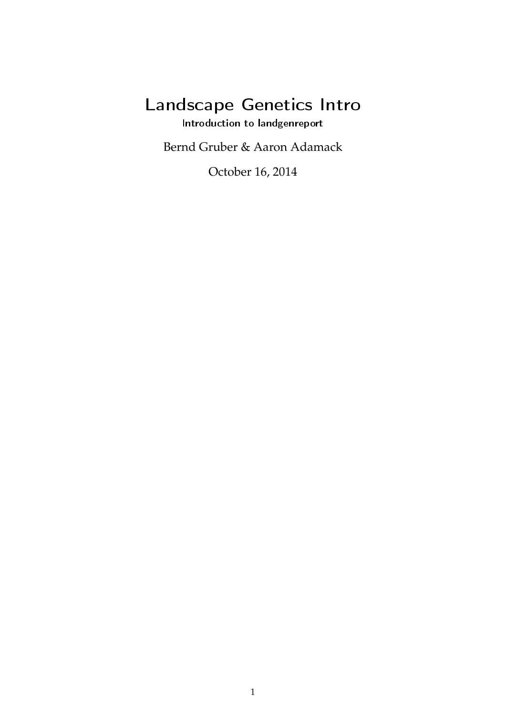# Landscape Genetics Intro

Introduction to landgenreport

Bernd Gruber & Aaron Adamack

October 16, 2014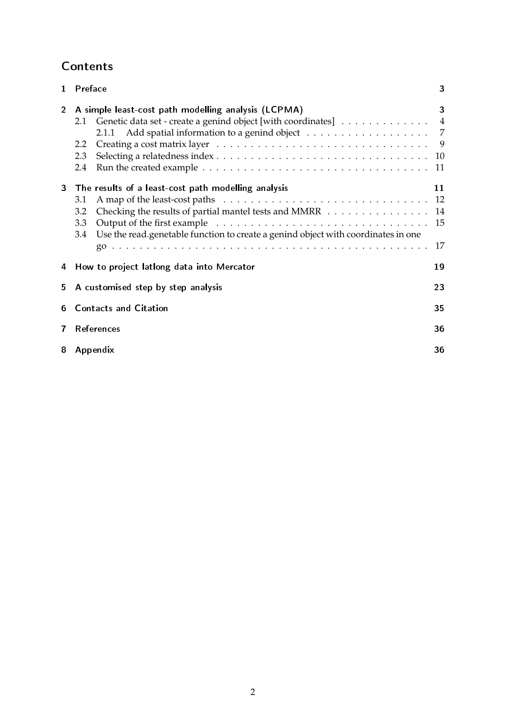# Contents

| $\mathbf{1}$   | Preface                                                                                                                                                                                                                       | 3                            |
|----------------|-------------------------------------------------------------------------------------------------------------------------------------------------------------------------------------------------------------------------------|------------------------------|
| $\overline{2}$ | A simple least-cost path modelling analysis (LCPMA)<br>Genetic data set - create a genind object [with coordinates] 4<br>2.1<br>2.2<br>2.3<br>2.4                                                                             | 3<br>- 9<br>10<br>11         |
| 3              | The results of a least-cost path modelling analysis<br>3.1<br>Checking the results of partial mantel tests and MMRR<br>3.2<br>3.3<br>Use the read.genetable function to create a genind object with coordinates in one<br>3.4 | 11<br>-12<br>14<br>-15<br>17 |
| 4              | How to project lationg data into Mercator                                                                                                                                                                                     | 19                           |
| 5.             | A customised step by step analysis                                                                                                                                                                                            | 23                           |
| 6              | <b>Contacts and Citation</b>                                                                                                                                                                                                  | 35                           |
| 7              | <b>References</b>                                                                                                                                                                                                             | 36                           |
| 8              | Appendix                                                                                                                                                                                                                      | 36                           |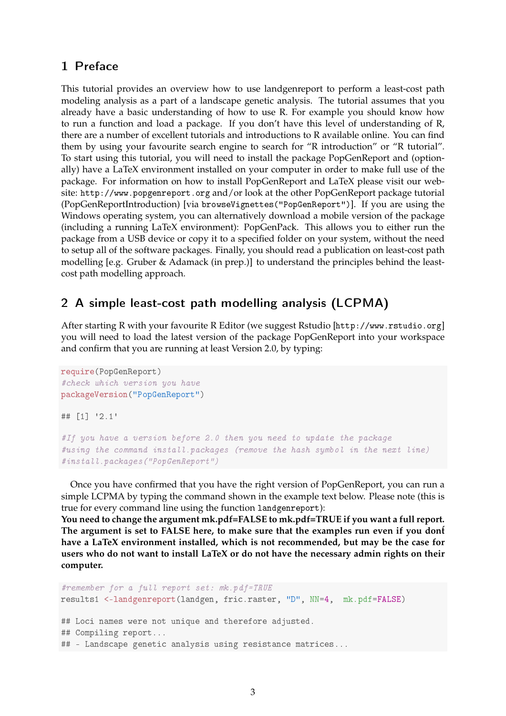## 1 Preface

This tutorial provides an overview how to use landgenreport to perform a least-cost path modeling analysis as a part of a landscape genetic analysis. The tutorial assumes that you already have a basic understanding of how to use R. For example you should know how to run a function and load a package. If you don't have this level of understanding of R, there are a number of excellent tutorials and introductions to R available online. You can find them by using your favourite search engine to search for "R introduction" or "R tutorial". To start using this tutorial, you will need to install the package PopGenReport and (optionally) have a LaTeX environment installed on your computer in order to make full use of the package. For information on how to install PopGenReport and LaTeX please visit our website: http://www.popgenreport.org and/or look at the other PopGenReport package tutorial (PopGenReportIntroduction) [via browseVignettes("PopGenReport")]. If you are using the Windows operating system, you can alternatively download a mobile version of the package (including a running LaTeX environment): PopGenPack. This allows you to either run the package from a USB device or copy it to a specified folder on your system, without the need to setup all of the software packages. Finally, you should read a publication on least-cost path modelling [e.g. Gruber & Adamack (in prep.)] to understand the principles behind the leastcost path modelling approach.

## 2 A simple least-cost path modelling analysis (LCPMA)

After starting R with your favourite R Editor (we suggest Rstudio [http://www.rstudio.org] you will need to load the latest version of the package PopGenReport into your workspace and confirm that you are running at least Version 2.0, by typing:

```
require(PopGenReport)
#check which version you have
packageVersion("PopGenReport")
## [1] '2.1'
#If you have a version before 2.0 then you need to update the package
#using the command install.packages (remove the hash symbol in the next line)
★✐♥st❛❧❧✳♣❛❝❦❛❣❡s✭✧P♦♣●❡♥❘❡♣♦rt✧✮
```
Once you have confirmed that you have the right version of PopGenReport, you can run a simple LCPMA by typing the command shown in the example text below. Please note (this is true for every command line using the function landgenreport):

**You need to change the argument mk.pdf=FALSE to mk.pdf=TRUE if you want a full report.** The argument is set to FALSE here, to make sure that the examples run even if you dont **have a LaTeX environment installed, which is not recommended, but may be the case for users who do not want to install LaTeX or do not have the necessary admin rights on their computer.**

```
#remember for a full report set: mk.pdf=TRUE
results1 <-landgenreport(landgen, fric.raster, "D", NN=4, mk.pdf=FALSE)
## Loci names were not unique and therefore adjusted.
## Compiling report...
## - Landscape genetic analysis using resistance matrices...
```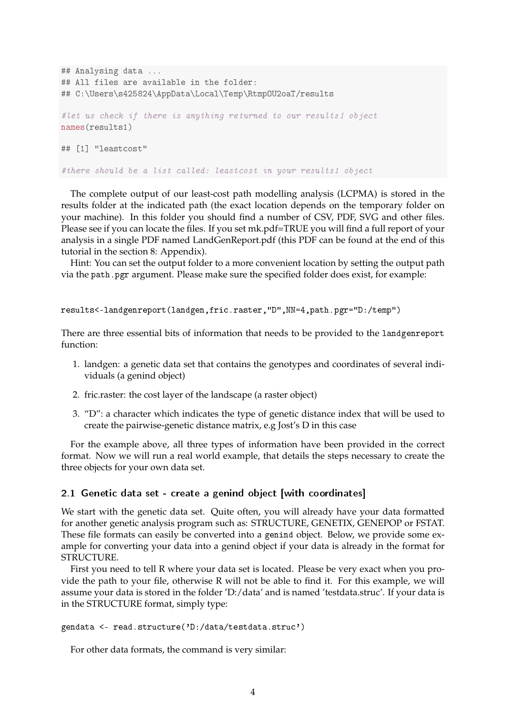```
## Analysing data ...
## All files are available in the folder:
## C:\Users\s425824\AppData\Local\Temp\Rtmp0U2oaT/results
#let us check if there is anything returned to our results1 object
names(results1)
## [1] "leastcost"
#there should be a list called: leastcost in your results1 object
```
The complete output of our least-cost path modelling analysis (LCPMA) is stored in the results folder at the indicated path (the exact location depends on the temporary folder on your machine). In this folder you should find a number of CSV, PDF, SVG and other files. Please see if you can locate the files. If you set mk.pdf=TRUE you will find a full report of your analysis in a single PDF named LandGenReport.pdf (this PDF can be found at the end of this tutorial in the section 8: Appendix).

Hint: You can set the output folder to a more convenient location by setting the output path via the path. pgr argument. Please make sure the specified folder does exist, for example:

```
results<-landgenreport(landgen,fric.raster,"D",NN=4,path.pgr="D:/temp")
```
There are three essential bits of information that needs to be provided to the landgenreport function:

- 1. landgen: a genetic data set that contains the genotypes and coordinates of several individuals (a genind object)
- 2. fric.raster: the cost layer of the landscape (a raster object)
- 3. "D": a character which indicates the type of genetic distance index that will be used to create the pairwise-genetic distance matrix, e.g Jost's D in this case

For the example above, all three types of information have been provided in the correct format. Now we will run a real world example, that details the steps necessary to create the three objects for your own data set.

#### 2.1 Genetic data set - create a genind object [with coordinates]

We start with the genetic data set. Quite often, you will already have your data formatted for another genetic analysis program such as: STRUCTURE, GENETIX, GENEPOP or FSTAT. These file formats can easily be converted into a genind object. Below, we provide some example for converting your data into a genind object if your data is already in the format for STRUCTURE.

First you need to tell R where your data set is located. Please be very exact when you provide the path to your file, otherwise R will not be able to find it. For this example, we will assume your data is stored in the folder 'D:/data' and is named 'testdata.struc'. If your data is in the STRUCTURE format, simply type:

```
gendata <- read.structure('D:/data/testdata.struc')
```
For other data formats, the command is very similar: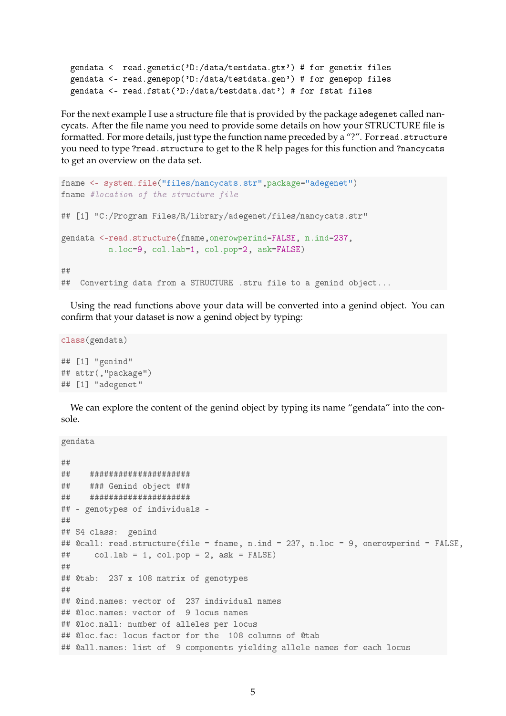```
gendata <- read.genetic('D:/data/testdata.gtx') # for genetix files
gendata <- read.genepop('D:/data/testdata.gen') # for genepop files
gendata <- read.fstat('D:/data/testdata.dat') # for fstat files
```
For the next example I use a structure file that is provided by the package adegenet called nancycats. After the file name you need to provide some details on how your STRUCTURE file is formatted. For more details, just type the function name preceded by a "?". For read. structure you need to type ?read.structure to get to the R help pages for this function and ?nancycats to get an overview on the data set.

```
fname <- system.file("files/nancycats.str", package="adegenet")
fname #location of the structure file
## [1] "C:/Program Files/R/library/adegenet/files/nancycats.str"
gendata <-read.structure(fname,onerowperind=FALSE, n.ind=237,
          n.loc=9, col.lab=1, col.pop=2, ask=FALSE)
★★
## Converting data from a STRUCTURE .stru file to a genind object...
```
Using the read functions above your data will be converted into a genind object. You can confirm that your dataset is now a genind object by typing:

```
class(gendata)
## [1] "genind"
## attr(,"package")
## [1] "adegenet"
```
We can explore the content of the genind object by typing its name "gendata" into the console.

```
gendata
★★
★★ ★★★★★★★★★★★★★★★★★★★★★
## ### Genind object ###
★★ ★★★★★★★★★★★★★★★★★★★★★
## - genotypes of individuals -
★★
## S4 class: genind
## @call: read.structure(file = fname, n.ind = 237, n.loc = 9, onerowperind = FALSE,
## col.lab = 1, col.pop = 2, ask = FALSE)
★★
## @tab: 237 x 108 matrix of genotypes
★★
## @ind.names: vector of 237 individual names
## @loc.names: vector of 9 locus names
## @loc.nall: number of alleles per locus
## @loc.fac: locus factor for the 108 columns of @tab
## @all.names: list of 9 components yielding allele names for each locus
```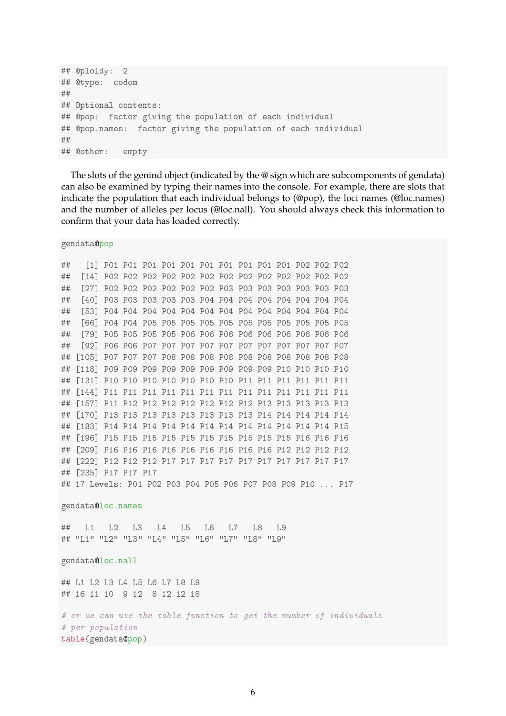```
## @ploidy: 2
## @type: codom
★★
## Optional contents:
## @pop: factor giving the population of each individual
## @pop.names: factor giving the population of each individual
★★
## @other: - empty -
```
The slots of the genind object (indicated by the @ sign which are subcomponents of gendata) can also be examined by typing their names into the console. For example, there are slots that indicate the population that each individual belongs to (@pop), the loci names (@loc.names) and the number of alleles per locus (@loc.nall). You should always check this information to confirm that your data has loaded correctly.

gendata@pop

```
★★ ❬✶❪ P✵✶ P✵✶ P✵✶ P✵✶ P✵✶ P✵✶ P✵✶ P✵✶ P✵✶ P✵✶ P✵✷ P✵✷ P✵✷
★★ ❬✶✹❪ P✵✷ P✵✷ P✵✷ P✵✷ P✵✷ P✵✷ P✵✷ P✵✷ P✵✷ P✵✷ P✵✷ P✵✷ P✵✷
## [27] PO2 PO2 PO2 PO2 PO2 PO2 PO3 PO3 PO3 PO3 PO3 PO3 PO3
## [40] PO3 PO3 PO3 PO3 PO4 PO4 PO4 PO4 PO4 PO4 PO4 PO4
★★ ❬✺✸❪ P✵✹ P✵✹ P✵✹ P✵✹ P✵✹ P✵✹ P✵✹ P✵✹ P✵✹ P✵✹ P✵✹ P✵✹ P✵✹
★★ ❬✻✻❪ P✵✹ P✵✹ P✵✺ P✵✺ P✵✺ P✵✺ P✵✺ P✵✺ P✵✺ P✵✺ P✵✺ P✵✺ P✵✺
★★ ❬✼✾❪ P✵✺ P✵✺ P✵✺ P✵✺ P✵✻ P✵✻ P✵✻ P✵✻ P✵✻ P✵✻ P✵✻ P✵✻ P✵✻
★★ ❬✾✷❪ P✵✻ P✵✻ P✵✼ P✵✼ P✵✼ P✵✼ P✵✼ P✵✼ P✵✼ P✵✼ P✵✼ P✵✼ P✵✼
★★ ❬✶✵✺❪ P✵✼ P✵✼ P✵✼ P✵✽ P✵✽ P✵✽ P✵✽ P✵✽ P✵✽ P✵✽ P✵✽ P✵✽ P✵✽
★★ ❬✶✶✽❪ P✵✾ P✵✾ P✵✾ P✵✾ P✵✾ P✵✾ P✵✾ P✵✾ P✵✾ P✶✵ P✶✵ P✶✵ P✶✵
★★ ❬✶✸✶❪ P✶✵ P✶✵ P✶✵ P✶✵ P✶✵ P✶✵ P✶✵ P✶✶ P✶✶ P✶✶ P✶✶ P✶✶ P✶✶
★★ ❬✶✹✹❪ P✶✶ P✶✶ P✶✶ P✶✶ P✶✶ P✶✶ P✶✶ P✶✶ P✶✶ P✶✶ P✶✶ P✶✶ P✶✶
★★ ❬✶✺✼❪ P✶✶ P✶✷ P✶✷ P✶✷ P✶✷ P✶✷ P✶✷ P✶✷ P✶✸ P✶✸ P✶✸ P✶✸ P✶✸
★★ ❬✶✼✵❪ P✶✸ P✶✸ P✶✸ P✶✸ P✶✸ P✶✸ P✶✸ P✶✸ P✶✹ P✶✹ P✶✹ P✶✹ P✶✹
★★ ❬✶✽✸❪ P✶✹ P✶✹ P✶✹ P✶✹ P✶✹ P✶✹ P✶✹ P✶✹ P✶✹ P✶✹ P✶✹ P✶✹ P✶✺
★★ ❬✶✾✻❪ P✶✺ P✶✺ P✶✺ P✶✺ P✶✺ P✶✺ P✶✺ P✶✺ P✶✺ P✶✺ P✶✻ P✶✻ P✶✻
## [209] P16 P16 P16 P16 P16 P16 P16 P16 P16 P12 P12 P12 P12
★★ ❬✷✷✷❪ P✶✷ P✶✷ P✶✷ P✶✼ P✶✼ P✶✼ P✶✼ P✶✼ P✶✼ P✶✼ P✶✼ P✶✼ P✶✼
## [235] P17 P17 P17
## 17 Levels: P01 P02 P03 P04 P05 P06 P07 P08 P09 P10 ... P17
gendata@loc.names
★★ ▲✶ ▲✷ ▲✸ ▲✹ ▲✺ ▲✻ ▲✼ ▲✽ ▲✾
## "L1" "L2" "L3" "L4" "L5" "L6" "L7" "L8" "L9"
gendata@loc.nall
## L1 L2 L3 L4 L5 L6 L7 L8 L9
★★ ✶✻ ✶✶ ✶✵ ✾ ✶✷ ✽ ✶✷ ✶✷ ✶✽
# or we can use the table function to get the number of individuals
# per population
table(gendata@pop)
```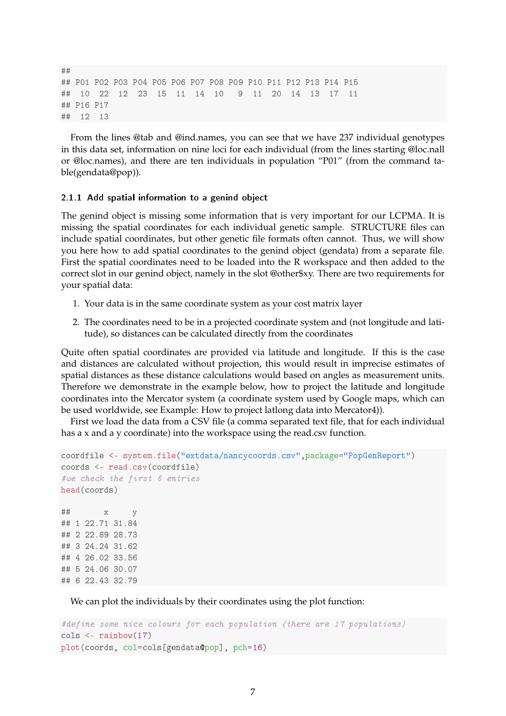```
★★
## PO1 PO2 PO3 PO4 PO5 PO6 PO7 PO8 PO9 P10 P11 P12 P13 P14 P15
\# \# 10 22 12 23 15 11 14 10 9 11 20 14 13 17 11
## P16 P17
## 12 13
```
From the lines @tab and @ind.names, you can see that we have 237 individual genotypes in this data set, information on nine loci for each individual (from the lines starting @loc.nall or @loc.names), and there are ten individuals in population "P01" (from the command table(gendata@pop)).

#### 2.1.1 Add spatial information to a genind object

The genind object is missing some information that is very important for our LCPMA. It is missing the spatial coordinates for each individual genetic sample. STRUCTURE files can include spatial coordinates, but other genetic file formats often cannot. Thus, we will show you here how to add spatial coordinates to the genind object (gendata) from a separate file. First the spatial coordinates need to be loaded into the R workspace and then added to the correct slot in our genind object, namely in the slot @other\$xy. There are two requirements for your spatial data:

- 1. Your data is in the same coordinate system as your cost matrix layer
- 2. The coordinates need to be in a projected coordinate system and (not longitude and latitude), so distances can be calculated directly from the coordinates

Quite often spatial coordinates are provided via latitude and longitude. If this is the case and distances are calculated without projection, this would result in imprecise estimates of spatial distances as these distance calculations would based on angles as measurement units. Therefore we demonstrate in the example below, how to project the latitude and longitude coordinates into the Mercator system (a coordinate system used by Google maps, which can be used worldwide, see Example: How to project latlong data into Mercator4)).

First we load the data from a CSV file (a comma separated text file, that for each individual has a x and a y coordinate) into the workspace using the read.csv function.

```
coordfile <- system.file("extdata/nancycoords.csv", package="PopGenReport")
coords <- read.csv(coordfile)
#we check the first 6 entries
head(coords)
★★ ① ②
## 1 22.71 31.84
## 2 22.89 28.73
## 3, 24, 24, 31, 62## 4 26.02 33.56
## 5 24.06 30.07
## 6 22.43 32.79
```
We can plot the individuals by their coordinates using the plot function:

```
#define some nice colours for each population (there are 17 populations)
cols <- rainbow(17)
plot(coords, col=cols[gendata@pop], pch=16)
```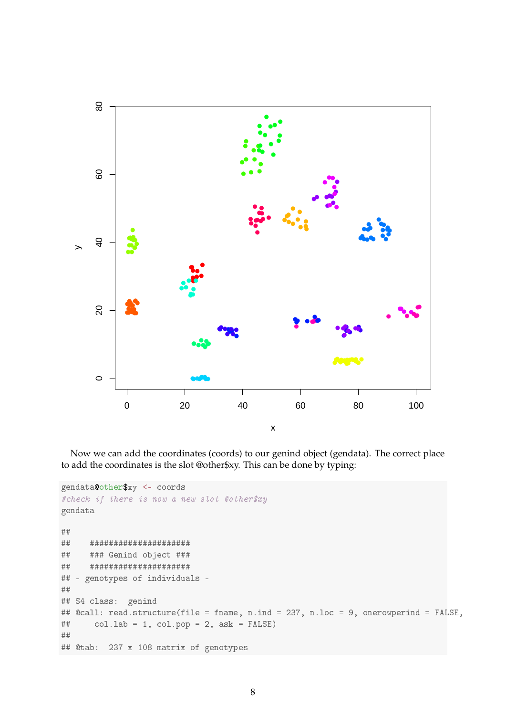

Now we can add the coordinates (coords) to our genind object (gendata). The correct place to add the coordinates is the slot @other\$xy. This can be done by typing:

```
gendata@other$xy <- coords
#check if there is now a new slot @other$xy
gendata
########################
     ### Genind object ###
######################
#### - genotypes of individuals -
#### S4 class: genind
## @call: read.structure(file = fname, n.ind = 237, n.loc = 9, onerowperind = FALSE,
       col.lab = 1, col.pop = 2, ask = FALSE)
###### @tab: 237 x 108 matrix of genotypes
```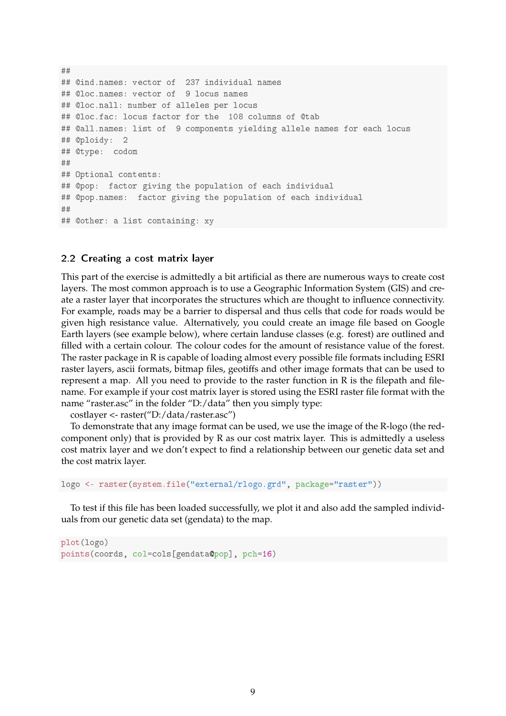★★ ## @ind.names: vector of 237 individual names ## @loc.names: vector of 9 locus names ## @loc.nall: number of alleles per locus ## @loc.fac: locus factor for the 108 columns of @tab ## @all.names: list of 9 components yielding allele names for each locus ## @ploidy: 2 ## @type: codom ★★ ## Optional contents: ## @pop: factor giving the population of each individual ## @pop.names: factor giving the population of each individual ★★ ## @other: a list containing: xy

#### 2.2 Creating a cost matrix layer

This part of the exercise is admittedly a bit artificial as there are numerous ways to create cost layers. The most common approach is to use a Geographic Information System (GIS) and create a raster layer that incorporates the structures which are thought to influence connectivity. For example, roads may be a barrier to dispersal and thus cells that code for roads would be given high resistance value. Alternatively, you could create an image file based on Google Earth layers (see example below), where certain landuse classes (e.g. forest) are outlined and filled with a certain colour. The colour codes for the amount of resistance value of the forest. The raster package in R is capable of loading almost every possible file formats including ESRI raster layers, ascii formats, bitmap files, geotiffs and other image formats that can be used to represent a map. All you need to provide to the raster function in R is the filepath and filename. For example if your cost matrix layer is stored using the ESRI raster file format with the name "raster.asc" in the folder "D:/data" then you simply type:

costlayer <- raster("D:/data/raster.asc")

To demonstrate that any image format can be used, we use the image of the R-logo (the redcomponent only) that is provided by R as our cost matrix layer. This is admittedly a useless cost matrix layer and we don't expect to find a relationship between our genetic data set and the cost matrix layer.

logo <- raster(system.file("external/rlogo.grd", package="raster"))

To test if this file has been loaded successfully, we plot it and also add the sampled individuals from our genetic data set (gendata) to the map.

```
plot(logo)
points(coords, col=cols[gendata@pop], pch=16)
```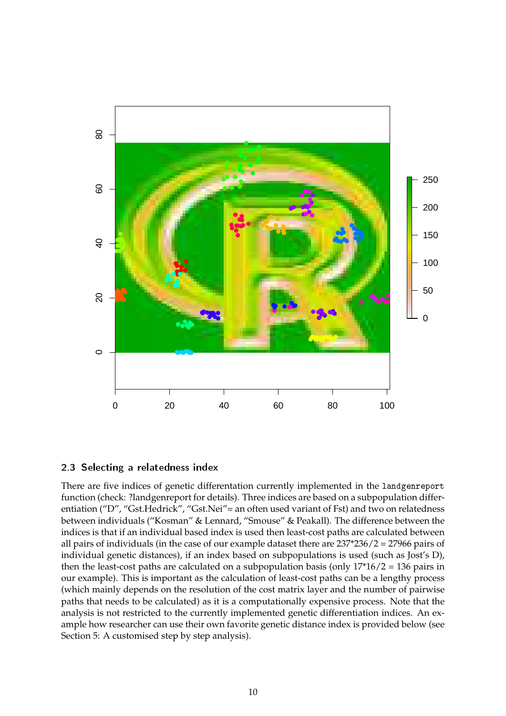

#### 2.3 Selecting a relatedness index

There are five indices of genetic differentation currently implemented in the landgenreport function (check: ?landgenreport for details). Three indices are based on a subpopulation differentiation ("D", "Gst.Hedrick", "Gst.Nei"= an often used variant of Fst) and two on relatedness between individuals ("Kosman" & Lennard, "Smouse" & Peakall). The difference between the indices is that if an individual based index is used then least-cost paths are calculated between all pairs of individuals (in the case of our example dataset there are 237\*236/2 = 27966 pairs of individual genetic distances), if an index based on subpopulations is used (such as Jost's D), then the least-cost paths are calculated on a subpopulation basis (only  $17*16/2 = 136$  pairs in our example). This is important as the calculation of least-cost paths can be a lengthy process (which mainly depends on the resolution of the cost matrix layer and the number of pairwise paths that needs to be calculated) as it is a computationally expensive process. Note that the analysis is not restricted to the currently implemented genetic differentiation indices. An example how researcher can use their own favorite genetic distance index is provided below (see Section 5: A customised step by step analysis).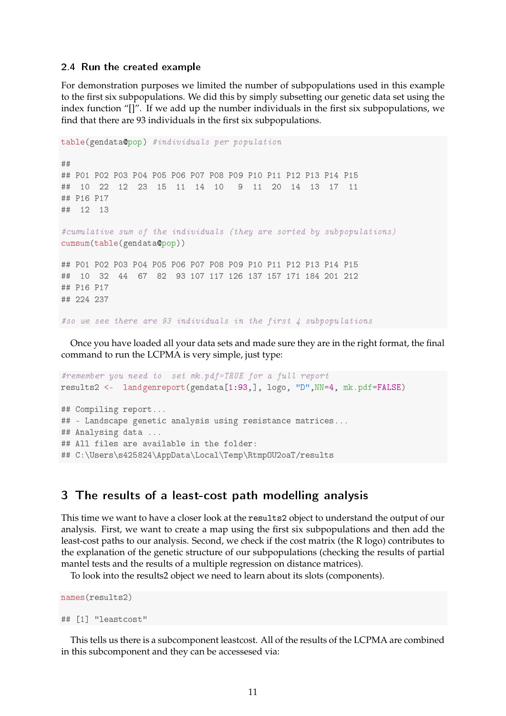#### 2.4 Run the created example

For demonstration purposes we limited the number of subpopulations used in this example to the first six subpopulations. We did this by simply subsetting our genetic data set using the index function "[]". If we add up the number individuals in the first six subpopulations, we find that there are 93 individuals in the first six subpopulations.

```
table(gendata@pop) #individuals per population
★★
★★ P✵✶ P✵✷ P✵✸ P✵✹ P✵✺ P✵✻ P✵✼ P✵✽ P✵✾ P✶✵ P✶✶ P✶✷ P✶✸ P✶✹ P✶✺
\# \# \frac{10}{22} \frac{12}{23} \frac{15}{11} \frac{11}{14} \frac{10}{10} \frac{9}{11} \frac{11}{20} \frac{14}{14} \frac{13}{13} \frac{17}{11}## P16 P17
## 12 13
★❝✉♠✉❧❛t✐✈❡ s✉♠ ♦❢ t❤❡ ✐♥❞✐✈✐❞✉❛❧s ✭t❤❡② ❛r❡ s♦rt❡❞ ❜② s✉❜♣♦♣✉❧❛t✐♦♥s✮
cumsum(table(gendata@pop))
## PO1 PO2 PO3 PO4 PO5 PO6 PO7 PO8 PO9 P10 P11 P12 P13 P14 P15
## 10 32 44 67 82 93 107 117 126 137 157 171 184 201 212
## P16 P17
## 224 237
#so we see there are 93 individuals in the first \downarrow subpopulations
```
Once you have loaded all your data sets and made sure they are in the right format, the final command to run the LCPMA is very simple, just type:

```
#remember you need to set mk.pdf=TRUE for a full report
results2 <- landgenreport(gendata[1:93,], logo, "D",NN=4, mk.pdf=FALSE)
## Compiling report...
## - Landscape genetic analysis using resistance matrices...
## Analysing data ...
## All files are available in the folder:
## C:\Users\s425824\AppData\Local\Temp\Rtmp0U2oaT/results
```
#### 3 The results of a least-cost path modelling analysis

This time we want to have a closer look at the results2 object to understand the output of our analysis. First, we want to create a map using the first six subpopulations and then add the least-cost paths to our analysis. Second, we check if the cost matrix (the R logo) contributes to the explanation of the genetic structure of our subpopulations (checking the results of partial mantel tests and the results of a multiple regression on distance matrices).

To look into the results2 object we need to learn about its slots (components).

```
names(results2)
## [1] "leastcost"
```
This tells us there is a subcomponent leastcost. All of the results of the LCPMA are combined in this subcomponent and they can be accessesed via: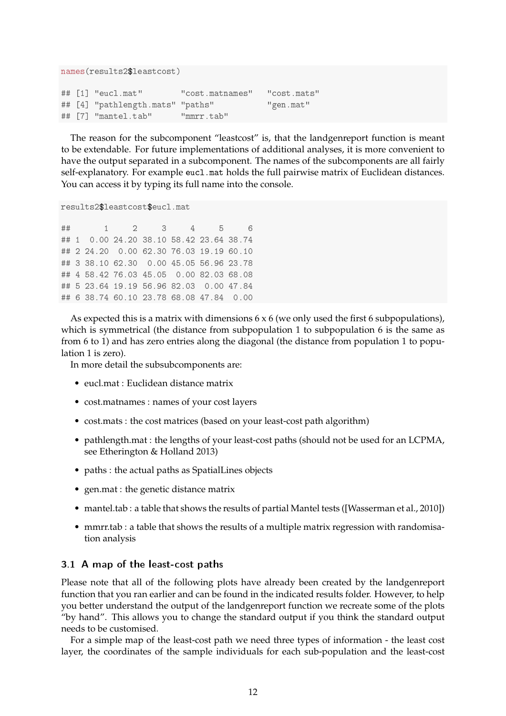```
names(results2$leastcost)
## [1] "eucl.mat" "cost.matnames" "cost.mats"
## [4] "pathlength.mats" "paths" 	 "gen.mat"
★★ ❬✼❪ ✧♠❛♥t❡❧✳t❛❜✧ ✧♠♠rr✳t❛❜✧
```
The reason for the subcomponent "leastcost" is, that the landgenreport function is meant to be extendable. For future implementations of additional analyses, it is more convenient to have the output separated in a subcomponent. The names of the subcomponents are all fairly self-explanatory. For example eucl.mat holds the full pairwise matrix of Euclidean distances. You can access it by typing its full name into the console.

```
results2$leastcost$eucl.mat
```
★★ ✶ ✷ ✸ ✹ ✺ ✻ ## 1 0.00 24.20 38.10 58.42 23.64 38.74 ## 2 24.20 0.00 62.30 76.03 19.19 60.10 ## 3 38.10 62.30 0.00 45.05 56.96 23.78 ## 4 58.42 76.03 45.05 0.00 82.03 68.08 ## 5 23.64 19.19 56.96 82.03 0.00 47.84 ## 6 38.74 60.10 23.78 68.08 47.84 0.00

As expected this is a matrix with dimensions  $6 \times 6$  (we only used the first 6 subpopulations), which is symmetrical (the distance from subpopulation 1 to subpopulation 6 is the same as from 6 to 1) and has zero entries along the diagonal (the distance from population 1 to population 1 is zero).

In more detail the subsubcomponents are:

- eucl.mat : Euclidean distance matrix
- cost.matnames : names of your cost layers
- cost.mats : the cost matrices (based on your least-cost path algorithm)
- pathlength.mat : the lengths of your least-cost paths (should not be used for an LCPMA, see Etherington & Holland 2013)
- paths : the actual paths as SpatialLines objects
- gen.mat : the genetic distance matrix
- mantel.tab : a table that shows the results of partial Mantel tests ([Wasserman et al., 2010])
- mmrr.tab : a table that shows the results of a multiple matrix regression with randomisation analysis

### 3.1 A map of the least-cost paths

Please note that all of the following plots have already been created by the landgenreport function that you ran earlier and can be found in the indicated results folder. However, to help you better understand the output of the landgenreport function we recreate some of the plots "by hand". This allows you to change the standard output if you think the standard output needs to be customised.

For a simple map of the least-cost path we need three types of information - the least cost layer, the coordinates of the sample individuals for each sub-population and the least-cost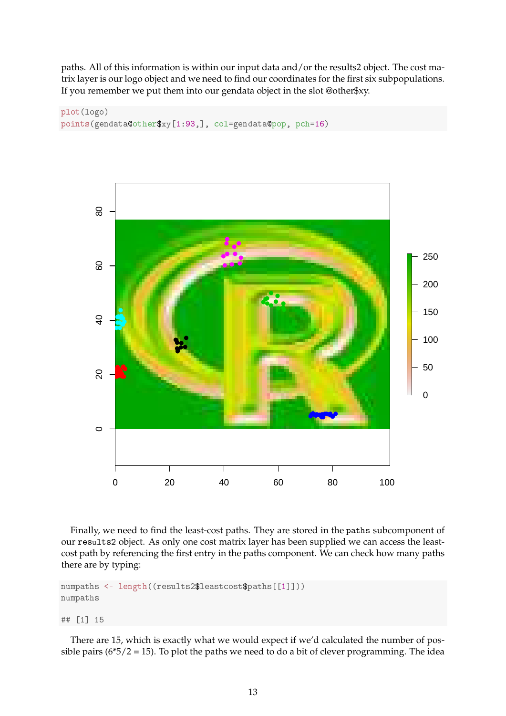paths. All of this information is within our input data and/or the results2 object. The cost matrix layer is our logo object and we need to find our coordinates for the first six subpopulations. If you remember we put them into our gendata object in the slot @other\$xy.





Finally, we need to find the least-cost paths. They are stored in the paths subcomponent of our results2 object. As only one cost matrix layer has been supplied we can access the leastcost path by referencing the first entry in the paths component. We can check how many paths there are by typing:

```
numpaths <- length((results2$leastcost$paths[[1]]))
numpaths
```
★★ ❬✶❪ ✶✺

There are 15, which is exactly what we would expect if we'd calculated the number of possible pairs ( $6*5/2 = 15$ ). To plot the paths we need to do a bit of clever programming. The idea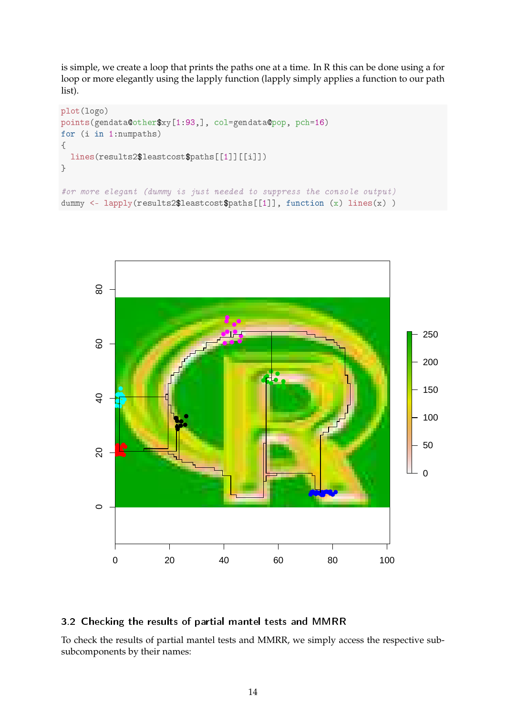is simple, we create a loop that prints the paths one at a time. In R this can be done using a for loop or more elegantly using the lapply function (lapply simply applies a function to our path list).

```
plot(logo)
points(gendata@other$xy[1:93,], col=gendata@pop, pch=16)
for (i in 1:numpaths)
④
  lines(results2$leastcost$paths[[1]][[i]])
\rightarrow#or more elegant (dummy is just needed to suppress the console output)
dummy <- lapply(results2$leastcost$paths[[1]], function (x) lines(x) )
```


#### 3.2 Checking the results of partial mantel tests and MMRR

To check the results of partial mantel tests and MMRR, we simply access the respective subsubcomponents by their names: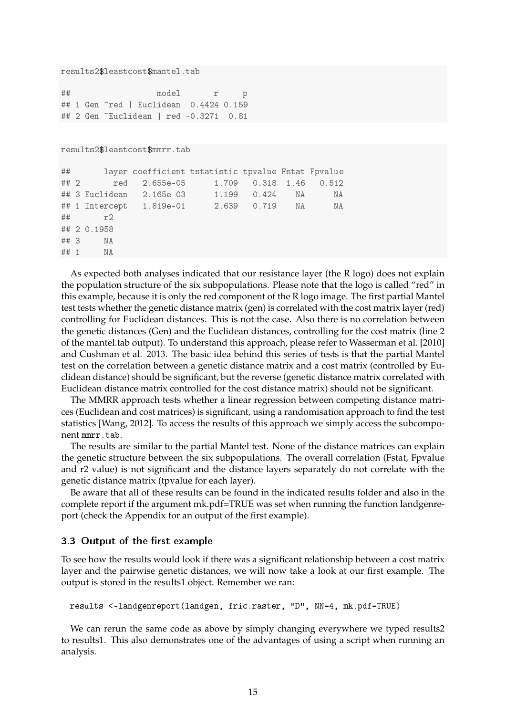```
results2$leastcost$mantel.tab
```
★★ ♠♦❞❡❧ r ♣ ## 1 Gen ~red | Euclidean 0.4424 0.159 ## 2 Gen ~Euclidean | red -0.3271 0.81

results2\$leastcost\$mmrr.tab

```
## 		 layer coefficient tstatistic tpvalue Fstat Fpvalue
★★ ✷ r❡❞ ✷✳✻✺✺❡✲✵✺ ✶✳✼✵✾ ✵✳✸✶✽ ✶✳✹✻ ✵✳✺✶✷
## 3 Euclidean -2.165e-03 -1.199 0.424 NA NA
## 1 Intercept  1.819e-01   2.639   0.719   NA   NA
## r2
★★ ✷ ✵✳✶✾✺✽
## 3 NA
## 1 NA
```
As expected both analyses indicated that our resistance layer (the R logo) does not explain the population structure of the six subpopulations. Please note that the logo is called "red" in this example, because it is only the red component of the R logo image. The first partial Mantel test tests whether the genetic distance matrix (gen) is correlated with the cost matrix layer (red) controlling for Euclidean distances. This is not the case. Also there is no correlation between the genetic distances (Gen) and the Euclidean distances, controlling for the cost matrix (line 2 of the mantel.tab output). To understand this approach, please refer to Wasserman et al. [2010] and Cushman et al. 2013. The basic idea behind this series of tests is that the partial Mantel test on the correlation between a genetic distance matrix and a cost matrix (controlled by Euclidean distance) should be significant, but the reverse (genetic distance matrix correlated with Euclidean distance matrix controlled for the cost distance matrix) should not be significant.

The MMRR approach tests whether a linear regression between competing distance matrices (Euclidean and cost matrices) is significant, using a randomisation approach to find the test statistics [Wang, 2012]. To access the results of this approach we simply access the subcomponent mmrr.tab.

The results are similar to the partial Mantel test. None of the distance matrices can explain the genetic structure between the six subpopulations. The overall correlation (Fstat, Fpvalue and r2 value) is not significant and the distance layers separately do not correlate with the genetic distance matrix (tpvalue for each layer).

Be aware that all of these results can be found in the indicated results folder and also in the complete report if the argument mk.pdf=TRUE was set when running the function landgenreport (check the Appendix for an output of the first example).

#### 3.3 Output of the first example

To see how the results would look if there was a significant relationship between a cost matrix layer and the pairwise genetic distances, we will now take a look at our first example. The output is stored in the results1 object. Remember we ran:

results <-landgenreport(landgen, fric.raster, "D", NN=4, mk.pdf=TRUE)

We can rerun the same code as above by simply changing everywhere we typed results2 to results1. This also demonstrates one of the advantages of using a script when running an analysis.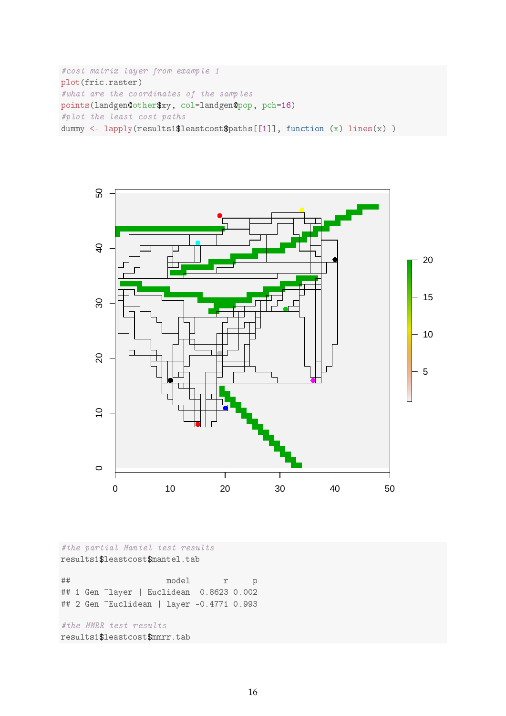```
#cost matrix layer from example 1
plot(fric.raster)
#what are the coordinates of the samples
points(landgen@other$xy, col=landgen@pop, pch=16)
#plot the least cost paths
dummy <- lapply(results1$leastcost$paths[[1]], function (x) lines(x))
```


#the partial Mantel test results results1\$leastcost\$mantel.tab

★★ ♠♦❞❡❧ r ♣ ## 1 Gen ~layer | Euclidean 0.8623 0.002 ## 2 Gen ~Euclidean | layer -0.4771 0.993

#the MMRR test results results1\$leastcost\$mmrr.tab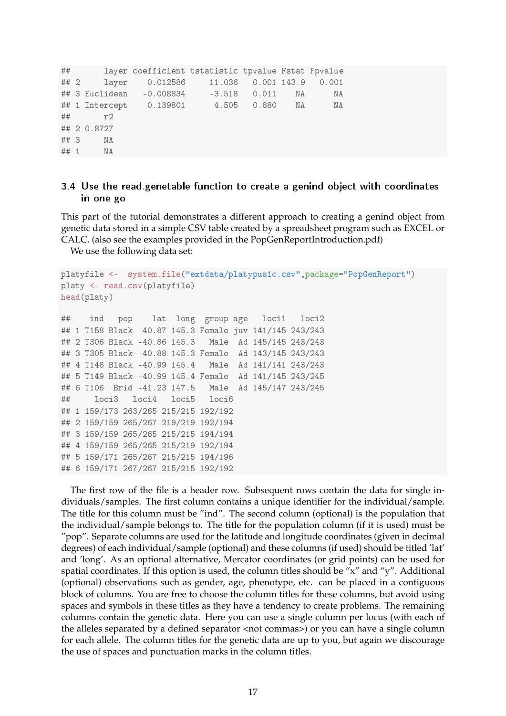```
★★ ❧❛②❡r ❝♦❡❢❢✐❝✐❡♥t tst❛t✐st✐❝ t♣✈❛❧✉❡ ❋st❛t ❋♣✈❛❧✉❡
## 2 	layer 0.012586 	11.036 0.001 143.9 0.001
## 3 Euclidean -0.008834 -3.518 0.011 NA WA
## 1 Intercept  0.139801   4.505  0.880   NA   NA
## r2
★★ ✷ ✵✳✽✼✷✼
## 3 NA
## 1 NA
```
#### 3.4 Use the read genetable function to create a genind object with coordinates in one go

This part of the tutorial demonstrates a different approach to creating a genind object from genetic data stored in a simple CSV table created by a spreadsheet program such as EXCEL or CALC. (also see the examples provided in the PopGenReportIntroduction.pdf)

We use the following data set:

```
platyfile <- system.file("extdata/platypus1c.csv",package="PopGenReport")
platy <- read.csv(platyfile)
head(platy)
## ind pop lat long group age loci1 loci2
## 1 T158 Black -40.87 145.3 Female juv 141/145 243/243
## 2 T306 Black -40.86 145.3 Male Ad 145/145 243/243
## 3 T305 Black -40.88 145.3 Female Ad 143/145 243/243
## 4 T148 Black -40.99 145.4 Male Ad 141/141 243/243
## 5 T149 Black -40.99 145.4 Female Ad 141/145 243/245
## 6 T106 Brid -41.23 147.5 Male Ad 145/147 243/245
★★ ❧♦❝✐✸ ❧♦❝✐✹ ❧♦❝✐✺ ❧♦❝✐✻
## 1 159/173 263/265 215/215 192/192
★★ ✷ ✶✺✾✴✶✺✾ ✷✻✺✴✷✻✼ ✷✶✾✴✷✶✾ ✶✾✷✴✶✾✹
★★ ✸ ✶✺✾✴✶✺✾ ✷✻✺✴✷✻✺ ✷✶✺✴✷✶✺ ✶✾✹✴✶✾✹
★★ ✹ ✶✺✾✴✶✺✾ ✷✻✺✴✷✻✺ ✷✶✺✴✷✶✾ ✶✾✷✴✶✾✹
## 5 159/171 265/267 215/215 194/196
★★ ✻ ✶✺✾✴✶✼✶ ✷✻✼✴✷✻✼ ✷✶✺✴✷✶✺ ✶✾✷✴✶✾✷
```
The first row of the file is a header row. Subsequent rows contain the data for single individuals/samples. The first column contains a unique identifier for the individual/sample. The title for this column must be "ind". The second column (optional) is the population that the individual/sample belongs to. The title for the population column (if it is used) must be "pop". Separate columns are used for the latitude and longitude coordinates (given in decimal degrees) of each individual/sample (optional) and these columns (if used) should be titled 'lat' and 'long'. As an optional alternative, Mercator coordinates (or grid points) can be used for spatial coordinates. If this option is used, the column titles should be "x" and "y". Additional (optional) observations such as gender, age, phenotype, etc. can be placed in a contiguous block of columns. You are free to choose the column titles for these columns, but avoid using spaces and symbols in these titles as they have a tendency to create problems. The remaining columns contain the genetic data. Here you can use a single column per locus (with each of the alleles separated by a defined separator <not commas>) or you can have a single column for each allele. The column titles for the genetic data are up to you, but again we discourage the use of spaces and punctuation marks in the column titles.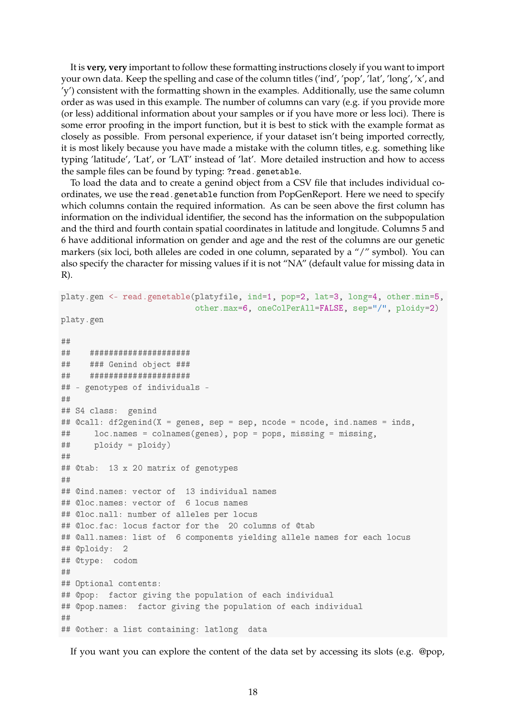It is **very, very** important to follow these formatting instructions closely if you want to import your own data. Keep the spelling and case of the column titles ('ind', 'pop', 'lat', 'long', 'x', and 'y') consistent with the formatting shown in the examples. Additionally, use the same column order as was used in this example. The number of columns can vary (e.g. if you provide more (or less) additional information about your samples or if you have more or less loci). There is some error proofing in the import function, but it is best to stick with the example format as closely as possible. From personal experience, if your dataset isn't being imported correctly, it is most likely because you have made a mistake with the column titles, e.g. something like typing 'latitude', 'Lat', or 'LAT' instead of 'lat'. More detailed instruction and how to access the sample files can be found by typing: ?read.genetable.

To load the data and to create a genind object from a CSV file that includes individual coordinates, we use the read.genetable function from PopGenReport. Here we need to specify which columns contain the required information. As can be seen above the first column has information on the individual identifier, the second has the information on the subpopulation and the third and fourth contain spatial coordinates in latitude and longitude. Columns 5 and 6 have additional information on gender and age and the rest of the columns are our genetic markers (six loci, both alleles are coded in one column, separated by a "/" symbol). You can also specify the character for missing values if it is not "NA" (default value for missing data in R).

```
platy.gen <- read.genetable(platyfile, ind=1, pop=2, lat=3, long=4, other.min=5,
                            other.max=6, oneColPerAll=FALSE, sep="/", ploidy=2)
platy.gen
★★
★★ ★★★★★★★★★★★★★★★★★★★★★
## ### Genind object ###
★★ ★★★★★★★★★★★★★★★★★★★★★
## - genotypes of individuals -
★★
## S4 class: genind
## @call: df2genind(X = genes, sep = sep, ncode = ncode, ind.names = inds,
## loc.names = colnames(genes), pop = pops, missing = missing,
## ploidy = ploidy)
★★
## @tab: 13 x 20 matrix of genotypes
★★
## @ind.names: vector of 13 individual names
## @loc.names: vector of 6 locus names
## @loc.nall: number of alleles per locus
## @loc.fac: locus factor for the 20 columns of @tab
## @all.names: list of 6 components yielding allele names for each locus
## @ploidy: 2
## @type: codom
★★
## Optional contents:
## @pop: factor giving the population of each individual
## @pop.names: factor giving the population of each individual
★★
## @other: a list containing: latlong data
```
If you want you can explore the content of the data set by accessing its slots (e.g. @pop,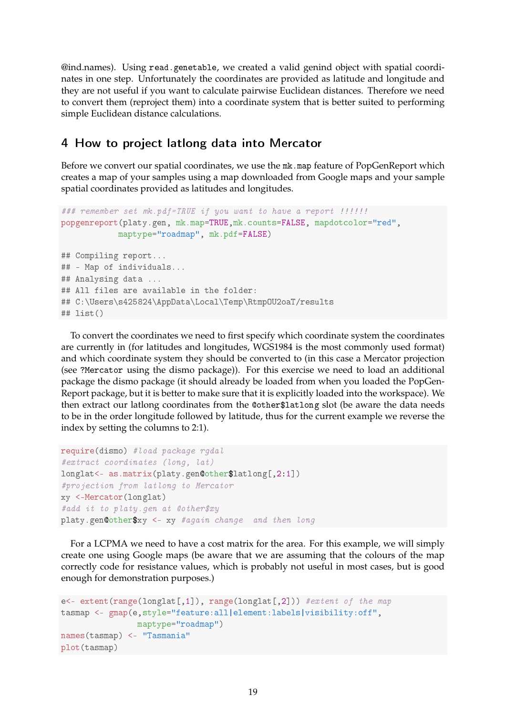@ind.names). Using read.genetable, we created a valid genind object with spatial coordinates in one step. Unfortunately the coordinates are provided as latitude and longitude and they are not useful if you want to calculate pairwise Euclidean distances. Therefore we need to convert them (reproject them) into a coordinate system that is better suited to performing simple Euclidean distance calculations.

### 4 How to project lationg data into Mercator

Before we convert our spatial coordinates, we use the mk.map feature of PopGenReport which creates a map of your samples using a map downloaded from Google maps and your sample spatial coordinates provided as latitudes and longitudes.

```
### remember set mk.pdf=TRUE if you want to have a report !!!!!!
popgenreport(platy.gen, mk.map=TRUE,mk.counts=FALSE, mapdotcolor="red",
            maptype="roadmap", mk.pdf=FALSE)
## Compiling report...
## - Map of individuals...
## Analysing data ...
## All files are available in the folder:
## C:\Users\s425824\AppData\Local\Temp\Rtmp0U2oaT/results
## list()
```
To convert the coordinates we need to first specify which coordinate system the coordinates are currently in (for latitudes and longitudes, WGS1984 is the most commonly used format) and which coordinate system they should be converted to (in this case a Mercator projection (see ?Mercator using the dismo package)). For this exercise we need to load an additional package the dismo package (it should already be loaded from when you loaded the PopGen-Report package, but it is better to make sure that it is explicitly loaded into the workspace). We then extract our latlong coordinates from the @other\$latlong slot (be aware the data needs to be in the order longitude followed by latitude, thus for the current example we reverse the index by setting the columns to 2:1).

```
require(dismo) #load package rgdal
#extract coordinates (long, lat)
longlat <- as.matrix(platy.gen@other$latlong[,2:1])
#projection from latlong to Mercator
xy <-Mercator(longlat)
#add it to platy.gen at @other$xy
platy.gen@other$xy <- xy #again change and then long
```
For a LCPMA we need to have a cost matrix for the area. For this example, we will simply create one using Google maps (be aware that we are assuming that the colours of the map correctly code for resistance values, which is probably not useful in most cases, but is good enough for demonstration purposes.)

```
e<- extent(range(longlat[,1]), range(longlat[,2])) #extent of the map
tasmap <- gmap(e,style="feature:all|element:labels|visibility:off",
               maptype="roadmap")
names(tasmap) <- "Tasmania"
plot(tasmap)
```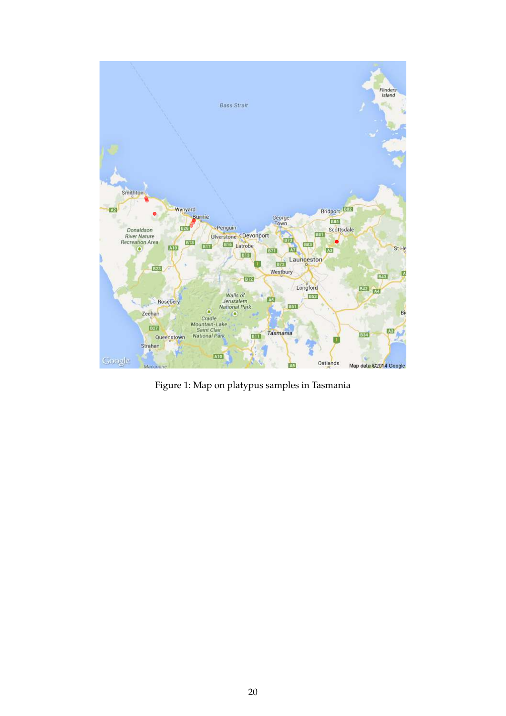

Figure 1: Map on platypus samples in Tasmania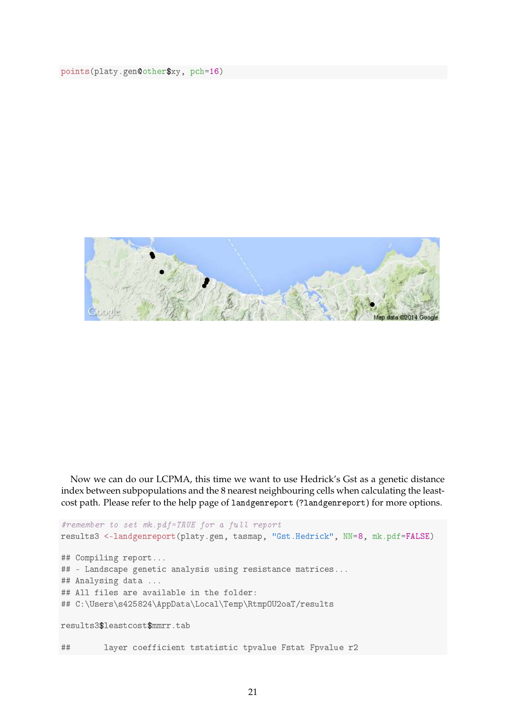points(platy.gen@other\$xy, pch=16)



Now we can do our LCPMA, this time we want to use Hedrick's Gst as a genetic distance index between subpopulations and the 8 nearest neighbouring cells when calculating the leastcost path. Please refer to the help page of landgenreport (?landgenreport) for more options.

```
#remember to set mk.pdf=TRUE for a full report
results3 <-landgenreport(platy.gen, tasmap, "Gst.Hedrick", NN=8, mk.pdf=FALSE)
## Compiling report...
## - Landscape genetic analysis using resistance matrices...
## Analysing data ...
## All files are available in the folder:
## C:\Users\s425824\AppData\Local\Temp\Rtmp0U2oaT/results
results3$leastcost$mmrr.tab
## 		 layer coefficient tstatistic tpvalue Fstat Fpvalue r2
```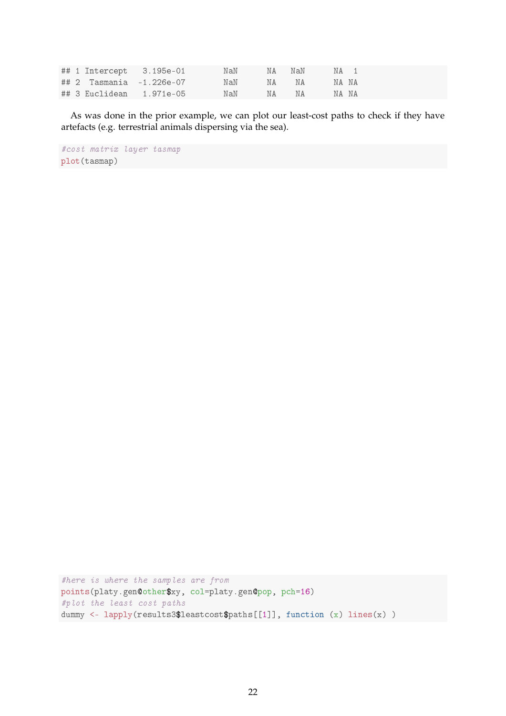|  | ## 1 Intercept 3.195e-01 MaN NA NaN NA 1 |  |  |  |
|--|------------------------------------------|--|--|--|
|  |                                          |  |  |  |
|  | ##3 Euclidean 1.971e-05 NaN NA NA NA NA  |  |  |  |

As was done in the prior example, we can plot our least-cost paths to check if they have artefacts (e.g. terrestrial animals dispersing via the sea).

#cost matrix layer tasmap plot(tasmap)

#here is where the samples are from points(platy.gen@other\$xy, col=platy.gen@pop, pch=16) #plot the least cost paths dummy <- lapply(results3\$leastcost\$paths[[1]], function (x) lines(x))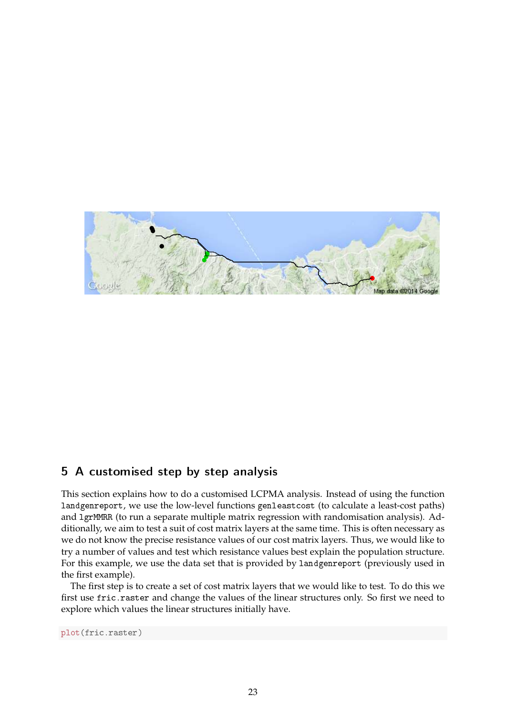

# 5 A customised step by step analysis

This section explains how to do a customised LCPMA analysis. Instead of using the function landgenreport, we use the low-level functions genleastcost (to calculate a least-cost paths) and 1grMMRR (to run a separate multiple matrix regression with randomisation analysis). Additionally, we aim to test a suit of cost matrix layers at the same time. This is often necessary as we do not know the precise resistance values of our cost matrix layers. Thus, we would like to try a number of values and test which resistance values best explain the population structure. For this example, we use the data set that is provided by landgenreport (previously used in the first example).

The first step is to create a set of cost matrix layers that we would like to test. To do this we first use fric.raster and change the values of the linear structures only. So first we need to explore which values the linear structures initially have.

plot(fric.raster)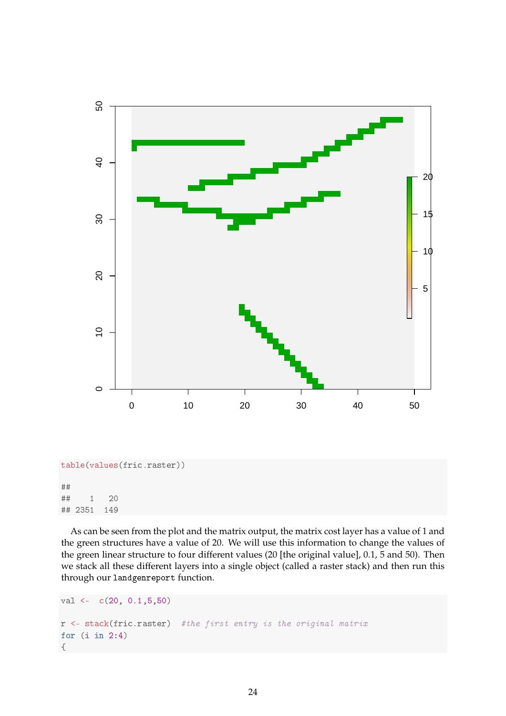

#### ★★ ## 1 20 ## 2351 149

As can be seen from the plot and the matrix output, the matrix cost layer has a value of 1 and the green structures have a value of 20. We will use this information to change the values of the green linear structure to four different values (20 [the original value], 0.1, 5 and 50). Then we stack all these different layers into a single object (called a raster stack) and then run this through our landgenreport function.

```
val \leftarrow c(20, 0.1, 5, 50)r <- stack(fric.raster) #the first entry is the original matrix
for (i in 2.4)\{
```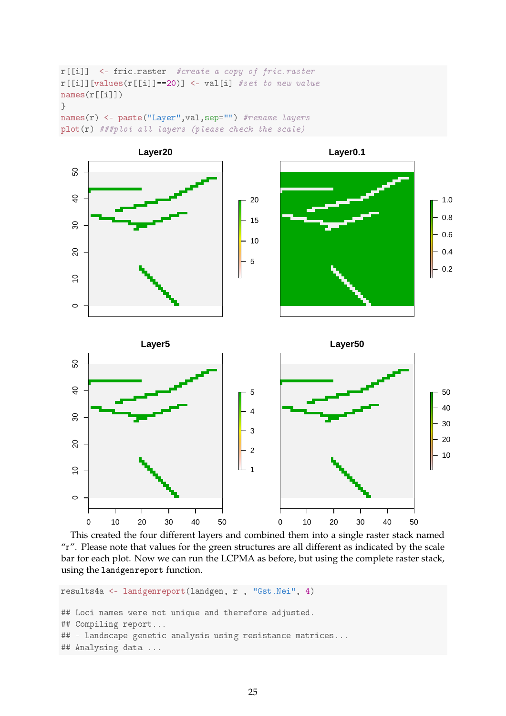```
r[[i]] <- fric.raster #create a copy of fric.raster
r[[i]] [values(r[[i]] ==20)] <- val[i] #set to new value
names(r[[i]])\}names(r) <- paste("Layer", val, sep="") #rename layers
plot(r) ###plot all layers (please check the scale)
```


This created the four different layers and combined them into a single raster stack named "r". Please note that values for the green structures are all different as indicated by the scale bar for each plot. Now we can run the LCPMA as before, but using the complete raster stack, using the landgenreport function.

```
results4a <- landgenreport(landgen, r , "Gst.Nei", 4)
## Loci names were not unique and therefore adjusted.
## Compiling report...
## - Landscape genetic analysis using resistance matrices...
## Analysing data ...
```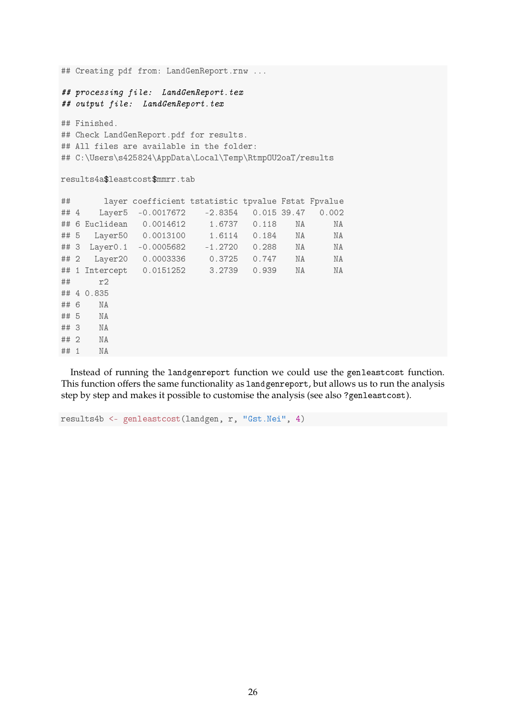```
## Creating pdf from: LandGenReport.rnw ...
## processing file: LandGenReport.tex
## output file: LandGenReport.tex
## Finished.
## Check LandGenReport.pdf for results.
## All files are available in the folder:
## C:\Users\s425824\AppData\Local\Temp\Rtmp0U2oaT/results
results4a$leastcost$mmrr.tab
★★ ❧❛②❡r ❝♦❡❢❢✐❝✐❡♥t tst❛t✐st✐❝ t♣✈❛❧✉❡ ❋st❛t ❋♣✈❛❧✉❡
## 4     Layer5   -0.0017672   -2.8354   0.015 39.47   0.002<br>\n## 6 Euclidean   0.0014612   1.6737   0.118   NA   NA## 6 Euclidean  0.0014612   1.6737   0.118   NA   NA
## 5 Layer50 0.0013100 1.6114 0.184 NA NA
## 3 Layer0.1 -0.0005682 -1.2720 0.288 NA NA<br>
## 2 Layer20 0.0003336 0.3725 0.747 NA NA
## 2 Layer20 0.0003336 0.3725 0.747 NA NA
## 1 Intercept  0.0151252  3.2739  0.939  NA   NA
## r2
## 4 0.835
## 6 NA
## 5 NA
## 3 NA
## 2 NA
## 1 NA
```
Instead of running the landgenreport function we could use the genleastcost function. This function offers the same functionality as landgenreport, but allows us to run the analysis step by step and makes it possible to customise the analysis (see also ?genleastcost).

```
results4b <- genleastcost(landgen, r, "Gst.Nei", 4)
```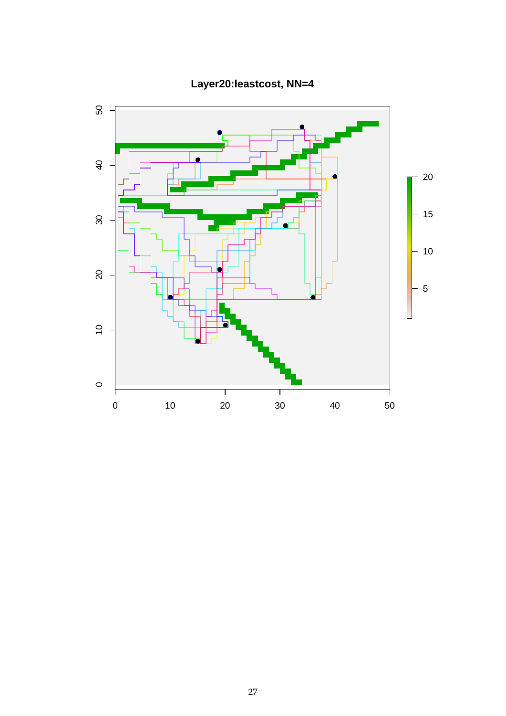

**Layer20:leastcost, NN=4**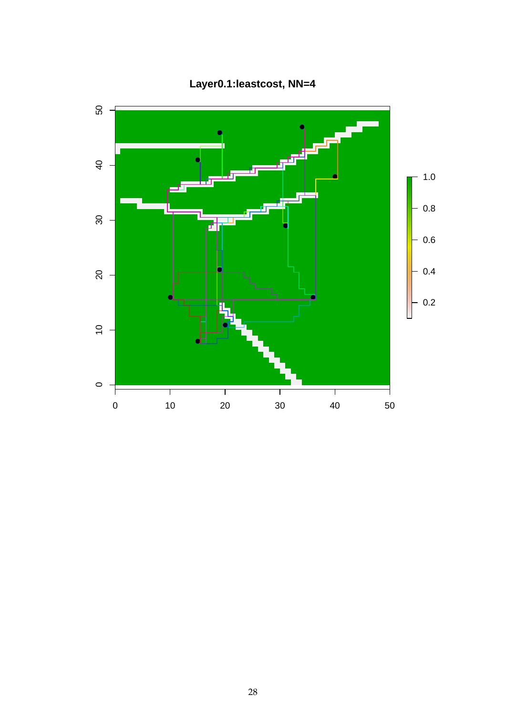

**Layer0.1:leastcost, NN=4**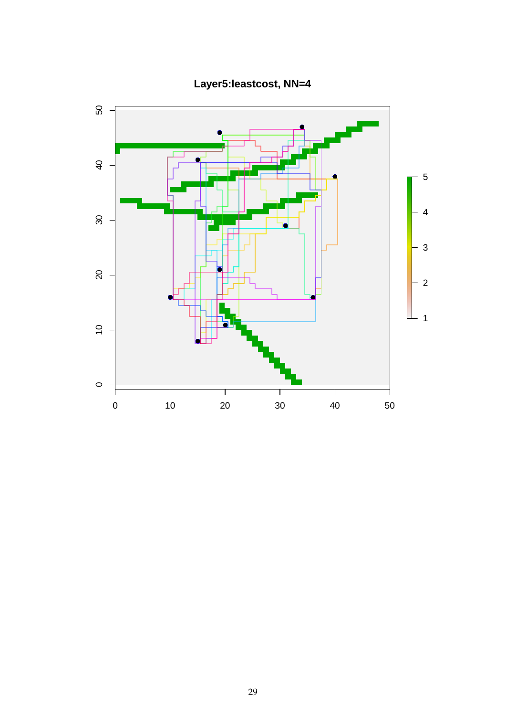

**Layer5:leastcost, NN=4**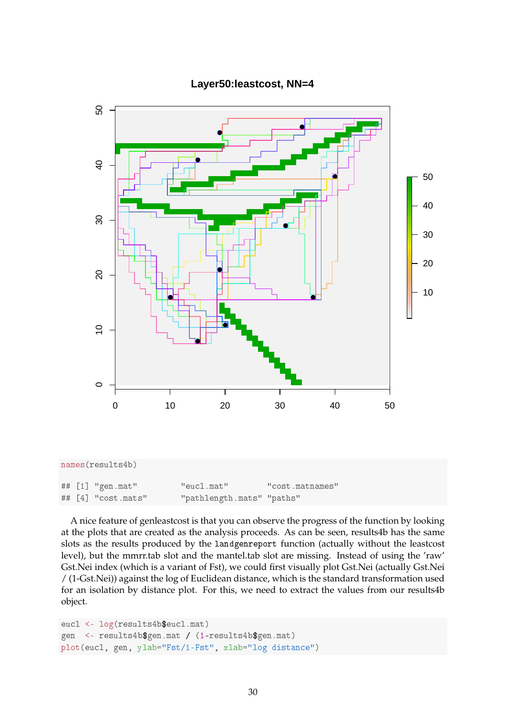

#### **Layer50:leastcost, NN=4**

A nice feature of genleastcost is that you can observe the progress of the function by looking at the plots that are created as the analysis proceeds. As can be seen, results4b has the same slots as the results produced by the landgenreport function (actually without the leastcost level), but the mmrr.tab slot and the mantel.tab slot are missing. Instead of using the 'raw' Gst.Nei index (which is a variant of Fst), we could first visually plot Gst.Nei (actually Gst.Nei / (1-Gst.Nei)) against the log of Euclidean distance, which is the standard transformation used for an isolation by distance plot. For this, we need to extract the values from our results4b object.

```
eucl <- log(results4b$eucl.mat)
gen <- results4b$gen.mat / (1-results4b$gen.mat)
plot(eucl, gen, ylab="Fst/1-Fst", xlab="log distance")
```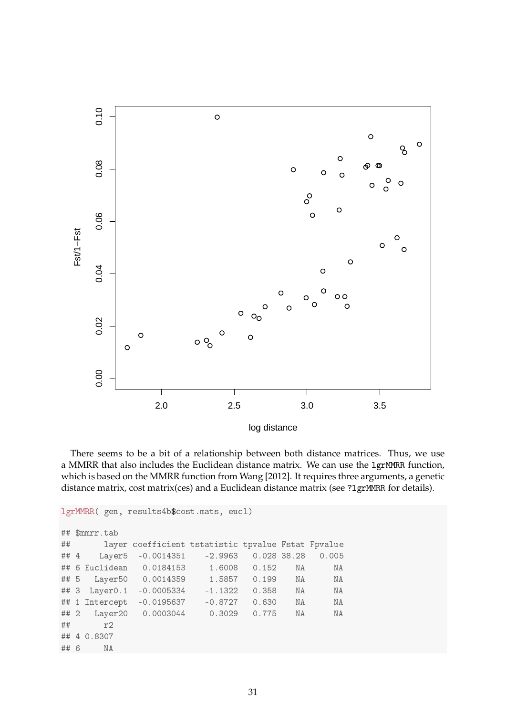

log distance

There seems to be a bit of a relationship between both distance matrices. Thus, we use a MMRR that also includes the Euclidean distance matrix. We can use the 1grMMRR function, which is based on the MMRR function from Wang [2012]. It requires three arguments, a genetic distance matrix, cost matrix(ces) and a Euclidean distance matrix (see ?1grMMRR for details).

```
lgrMMRR( gen, results4b$cost.mats, eucl)
## $mmrr.tab
★★ ❧❛②❡r ❝♦❡❢❢✐❝✐❡♥t tst❛t✐st✐❝ t♣✈❛❧✉❡ ❋st❛t ❋♣✈❛❧✉❡
## 4 Layer5 -0.0014351 -2.9963 0.028 38.28 0.005
## 6 Euclidean  0.0184153   1.6008   0.152   NA   NA
## 5 Layer50 0.0014359 1.5857 0.199 NA NA
## 3 Layer0.1 -0.0005334 -1.1322 0.358 NA NA
## 1 Intercept -0.0195637 -0.8727 0.630 NA NA
## 2 Layer20  0.0003044  0.3029  0.775  NA   NA
\## r2
## 4 0.8307
## 6 NA
```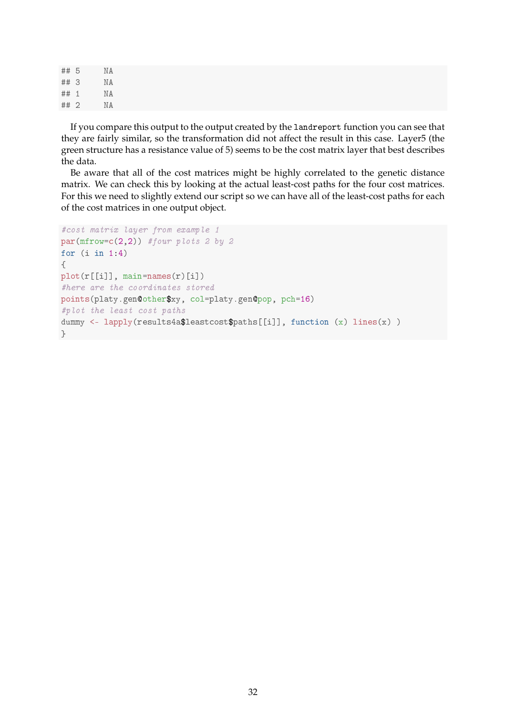## 5 NA ★★ ✸ ◆❆ ## 1 NA ## 2 NA

If you compare this output to the output created by the landreport function you can see that they are fairly similar, so the transformation did not affect the result in this case. Layer5 (the green structure has a resistance value of 5) seems to be the cost matrix layer that best describes the data.

Be aware that all of the cost matrices might be highly correlated to the genetic distance matrix. We can check this by looking at the actual least-cost paths for the four cost matrices. For this we need to slightly extend our script so we can have all of the least-cost paths for each of the cost matrices in one output object.

```
#cost matrix layer from example 1
par(mfrow=c(2,2)) #four plots 2 by 2for (i in 1 \t4)\sqrt{ }plot(r[[i]], main=names(r)[i])
#here are the coordinates stored
points(platy.gen@other$xy, col=platy.gen@pop, pch=16)
#plot the least cost paths
dummy <- lapply(results4a$leastcost$paths[[i]], function (x) lines(x))
\}
```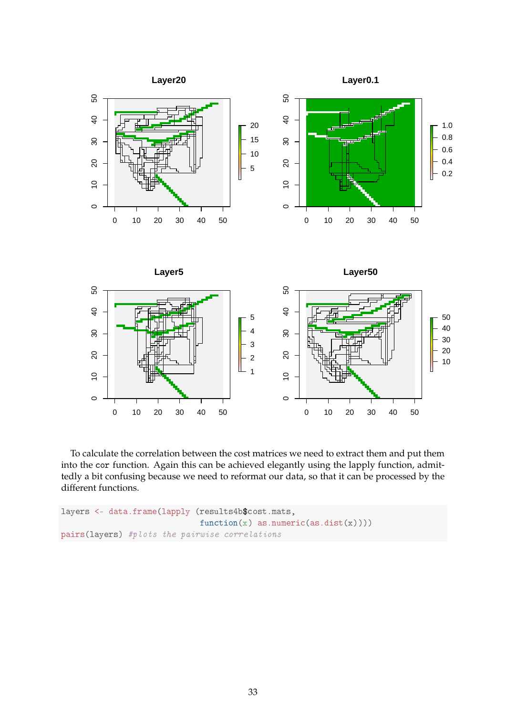

To calculate the correlation between the cost matrices we need to extract them and put them into the cor function. Again this can be achieved elegantly using the lapply function, admittedly a bit confusing because we need to reformat our data, so that it can be processed by the different functions.

```
layers <- data.frame(lapply (results4b$cost.mats,
                             function(x) as.numeric(as.dist(x))))
pairs(layers) #plots the pairwise correlations
```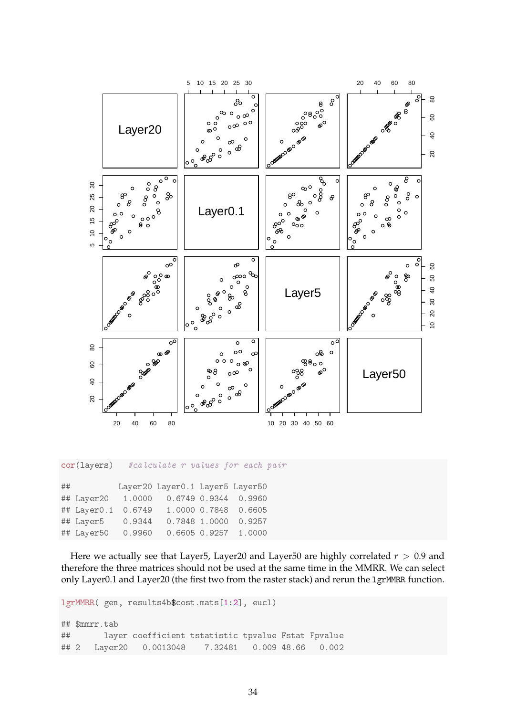

cor(layers) #calculate r values for each pair

| ## |             |        | Layer20 Layer0.1 Layer5 Layer50 |                   |                      |
|----|-------------|--------|---------------------------------|-------------------|----------------------|
|    | ## Layer20  | 1,0000 |                                 |                   | 0.6749 0.9344 0.9960 |
|    | ## Layer0.1 | 0.6749 |                                 |                   | 1.0000 0.7848 0.6605 |
|    | ## Layer5   | 0.9344 |                                 | 0.7848 1.0000     | 0.9257               |
|    | ## Layer50  | 0.9960 |                                 | $0.6605$ $0.9257$ | 1.0000               |

Here we actually see that Layer5, Layer20 and Layer50 are highly correlated *r* > 0.9 and therefore the three matrices should not be used at the same time in the MMRR. We can select only Layer0.1 and Layer20 (the first two from the raster stack) and rerun the 1grMMRR function.

lgrMMRR( gen, results4b\$cost.mats[1:2], eucl)

```
## $mmrr.tab
## 		 layer coefficient tstatistic tpvalue Fstat Fpvalue
## 2 Layer20 0.0013048 7.32481 0.009 48.66 0.002
```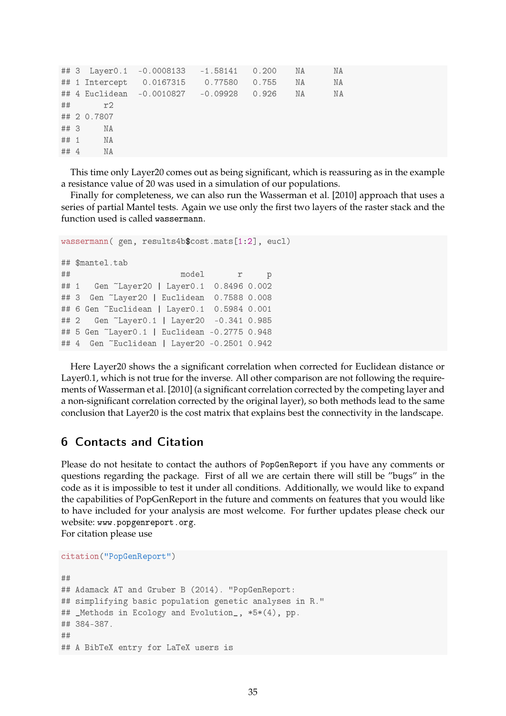```
## 3 Layer0.1 -0.0008133 -1.58141 0.200 NA NA
## 1 Intercept  0.0167315  0.77580  0.755  NA   NA
## 4 Euclidean -0.0010827 -0.09928 0.926 NA WA
## r2
## 2 0.7807
## 3 NA
## 1 NA
## 4 NA
```
This time only Layer20 comes out as being significant, which is reassuring as in the example a resistance value of 20 was used in a simulation of our populations.

Finally for completeness, we can also run the Wasserman et al. [2010] approach that uses a series of partial Mantel tests. Again we use only the first two layers of the raster stack and the function used is called wassermann.

```
wassermann( gen, results4b$cost.mats[1:2], eucl)
## $mantel.tab
★★ ♠♦❞❡❧ r ♣
## 1 Gen ~Layer20 | Layer0.1 0.8496 0.002
## 3 Gen ~Layer20 | Euclidean 0.7588 0.008
## 6 Gen ~Euclidean | Layer0.1 0.5984 0.001
## 2 Gen ~Layer0.1 | Layer20 -0.341 0.985
## 5 Gen ~Layer0.1 | Euclidean -0.2775 0.948
## 4 Gen ~Euclidean | Layer20 -0.2501 0.942
```
Here Layer20 shows the a significant correlation when corrected for Euclidean distance or Layer0.1, which is not true for the inverse. All other comparison are not following the requirements of Wasserman et al. [2010] (a significant correlation corrected by the competing layer and a non-significant correlation corrected by the original layer), so both methods lead to the same conclusion that Layer20 is the cost matrix that explains best the connectivity in the landscape.

## $6$  Contacts and Citation

Please do not hesitate to contact the authors of PopGenReport if you have any comments or questions regarding the package. First of all we are certain there will still be "bugs" in the code as it is impossible to test it under all conditions. Additionally, we would like to expand the capabilities of PopGenReport in the future and comments on features that you would like to have included for your analysis are most welcome. For further updates please check our website: www.popgenreport.org.

For citation please use

```
citation("PopGenReport")
```

```
★★
## Adamack AT and Gruber B (2014). "PopGenReport:
## simplifying basic population genetic analyses in R."
## _Methods in Ecology and Evolution_, *5*(4), pp.
## 384 - 387.
★★
## A BibTeX entry for LaTeX users is
```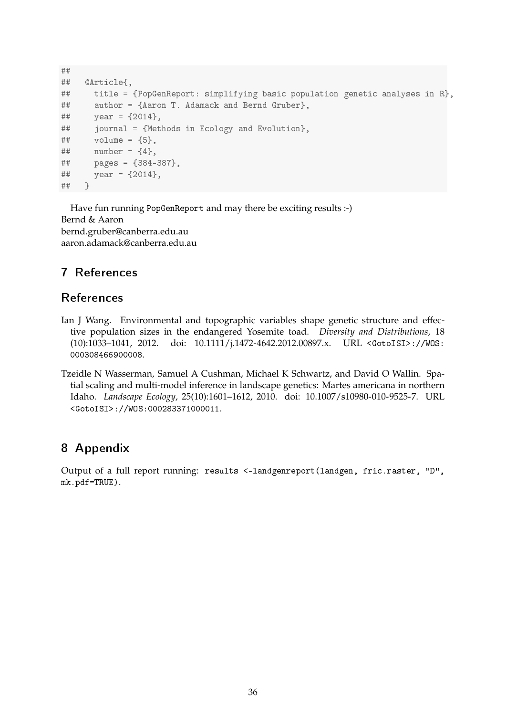```
★★
## @Article{,
## title = {PopGenReport: simplifying basic population genetic analyses in R},
## author = {Aaron T. Adamack and Bernd Gruber},
\# \# \# \text{year} = \{2014\},
## journal = {Methods in Ecology and Evolution},
\# \# volume = {5},
## number = {4},
## pages = {384-387},
## year = {2014},
★★ ⑥
```
Have fun running PopGenReport and may there be exciting results :-) Bernd & Aaron bernd.gruber@canberra.edu.au aaron.adamack@canberra.edu.au

# **7** References

# **References**

- Ian J Wang. Environmental and topographic variables shape genetic structure and effective population sizes in the endangered Yosemite toad. *Diversity and Distributions*, 18 (10):1033-1041, 2012. doi: 10.1111/j.1472-4642.2012.00897.x. URL <GotoISI>://WOS: 000308466900008.
- Tzeidle N Wasserman, Samuel A Cushman, Michael K Schwartz, and David O Wallin. Spatial scaling and multi-model inference in landscape genetics: Martes americana in northern Idaho. *Landscape Ecology*, 25(10):1601–1612, 2010. doi: 10.1007/s10980-010-9525-7. URL <GotoISI>://WOS:000283371000011.

# 8 Appendix

Output of a full report running: results <-landgenreport(landgen, fric.raster, "D", mk.pdf=TRUE).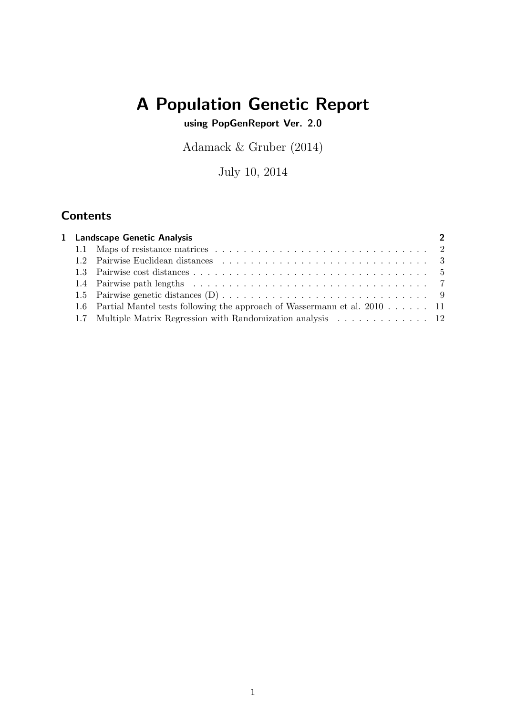# A Population Genetic Report

using PopGenReport Ver. 2.0

Adamack & Gruber (2014)

July 10, 2014

# **Contents**

|  | $\mathcal{P}$                                                                                                                                                                  |
|--|--------------------------------------------------------------------------------------------------------------------------------------------------------------------------------|
|  |                                                                                                                                                                                |
|  |                                                                                                                                                                                |
|  |                                                                                                                                                                                |
|  |                                                                                                                                                                                |
|  |                                                                                                                                                                                |
|  |                                                                                                                                                                                |
|  |                                                                                                                                                                                |
|  | 1 Landscape Genetic Analysis<br>1.6 Partial Mantel tests following the approach of Wassermann et al. 2010 11<br>1.7 Multiple Matrix Regression with Randomization analysis  12 |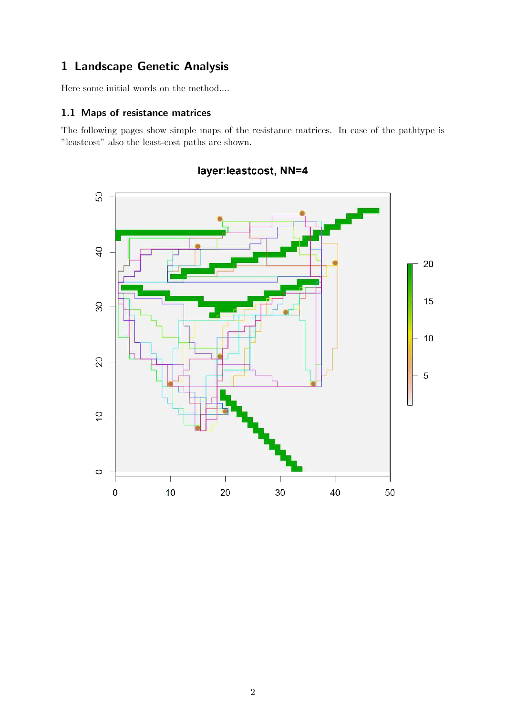# 1 Landscape Genetic Analysis

Here some initial words on the method....

#### 1.1 Maps of resistance matrices

The following pages show simple maps of the resistance matrices. In case of the pathtype is "leastcost" also the least-cost paths are shown.



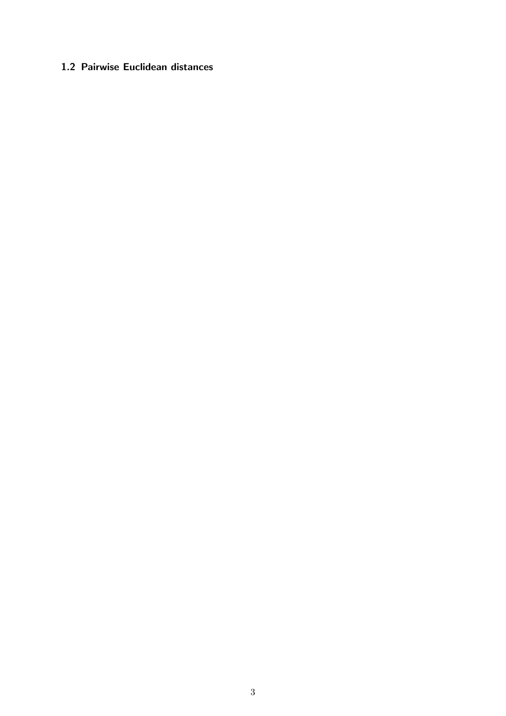# 1.2 Pairwise Euclidean distances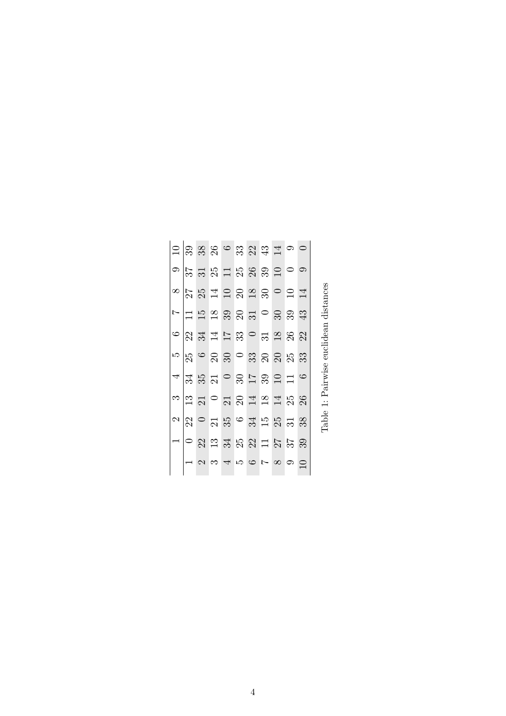|  |  |  |  | $\square$ ន្ល្ល្លង្ហ្ល្ល្ណូង្គ $\overline{\square}$ o                                                                                                                    |        |  |
|--|--|--|--|--------------------------------------------------------------------------------------------------------------------------------------------------------------------------|--------|--|
|  |  |  |  | ា $\approx$ ដ ង ដ ង ង ង ន ៦ ០ ១                                                                                                                                          |        |  |
|  |  |  |  |                                                                                                                                                                          |        |  |
|  |  |  |  | $\sim$ $\vert$ $\Xi$ $\vert$ $\Xi$ $\vert$ $\Xi$ $\otimes$ $\otimes$ $\Xi$ $\vert$ $\odot$ $\otimes$ $\otimes$ $\otimes$ $\oplus$                                        |        |  |
|  |  |  |  | $\frac{1}{\alpha}$ ន្ត្រី ក្នុង ក្នុង ក្នុង                                                                                                                              |        |  |
|  |  |  |  |                                                                                                                                                                          |        |  |
|  |  |  |  | $4\frac{1}{3}$ $\frac{1}{3}$ $\frac{1}{6}$ $\frac{1}{6}$ $\frac{1}{6}$ $\frac{1}{6}$ $\frac{1}{6}$ $\frac{1}{6}$ $\frac{1}{6}$ $\frac{1}{6}$ $\frac{1}{6}$ $\frac{1}{6}$ |        |  |
|  |  |  |  | $\frac{13}{12}$ $\frac{13}{12}$ $\frac{13}{12}$ $\frac{13}{12}$ $\frac{13}{12}$ $\frac{13}{12}$ $\frac{13}{12}$ $\frac{13}{12}$                                          |        |  |
|  |  |  |  | $\alpha$ <mark>&amp;</mark> $\circ$ $\alpha$ $\approx$ $\alpha$ $\approx$ $\alpha$ $\approx$ $\alpha$ $\approx$ $\alpha$                                                 |        |  |
|  |  |  |  | $ \circ$ 8 $\frac{3}{2}$ $\frac{3}{2}$ $\frac{3}{2}$ $\frac{3}{2}$ $\frac{3}{2}$ $\frac{1}{2}$ $\frac{1}{2}$ $\frac{5}{2}$ $\frac{5}{2}$ $\frac{3}{2}$                   |        |  |
|  |  |  |  | $\frac{1}{2}$                                                                                                                                                            | $\Box$ |  |

Table 1: Pairwise euclidean distances Table 1: Pairwise euclidean distances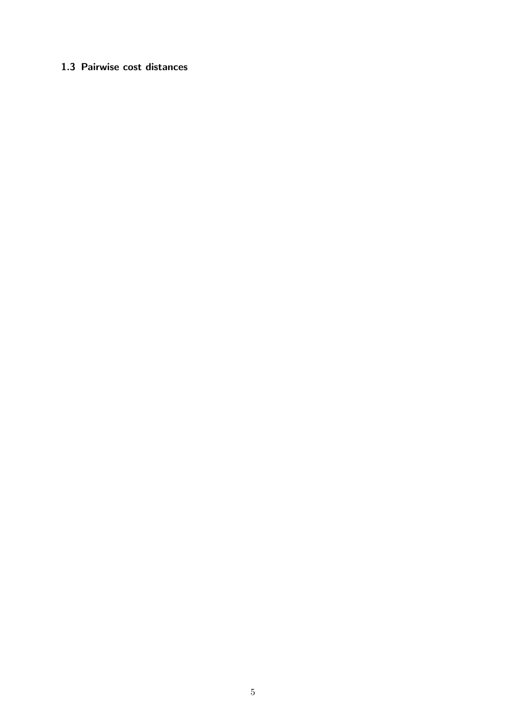# 1.3 Pairwise cost distances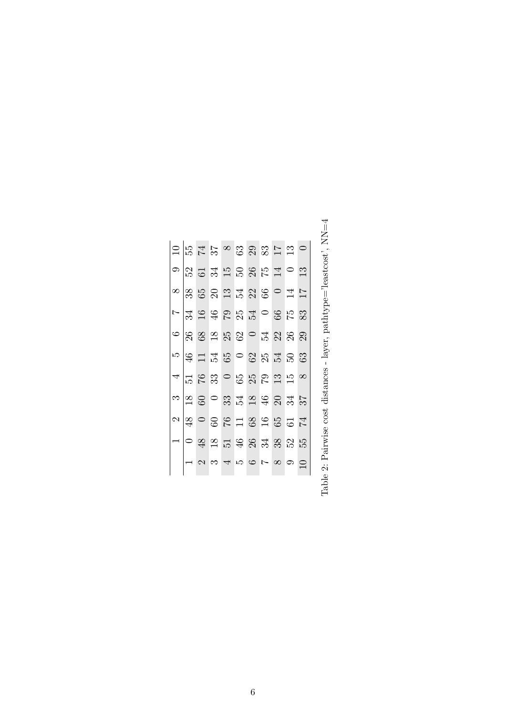|                                                                                                                                                                                                                                                                                                                                                                                                                                                         |  |  |        |          |    | 13 |
|---------------------------------------------------------------------------------------------------------------------------------------------------------------------------------------------------------------------------------------------------------------------------------------------------------------------------------------------------------------------------------------------------------------------------------------------------------|--|--|--------|----------|----|----|
| $\infty$ $\approx$ $\approx$ $\approx$ $\approx$ $\approx$ $\approx$ $\approx$                                                                                                                                                                                                                                                                                                                                                                          |  |  |        | $\circ$  | 14 |    |
| $\frac{1}{2}$ $\frac{1}{3}$ $\frac{1}{6}$ $\frac{1}{6}$ $\frac{1}{6}$ $\frac{1}{6}$ $\frac{1}{6}$ $\frac{1}{6}$ $\frac{1}{6}$ $\frac{1}{6}$ $\frac{1}{6}$ $\frac{1}{6}$ $\frac{1}{6}$ $\frac{1}{6}$ $\frac{1}{6}$ $\frac{1}{6}$ $\frac{1}{6}$ $\frac{1}{6}$ $\frac{1}{6}$ $\frac{1}{6}$ $\frac{1}{6}$ $\frac{1}{6}$                                                                                                                                     |  |  |        |          |    |    |
| $\circ$ $ $ ន ខ $\approx$ ន $\circ$ $\circ$ ង ន ន ន ន                                                                                                                                                                                                                                                                                                                                                                                                   |  |  |        |          |    |    |
| $\frac{16}{16} = \frac{12}{12} = \frac{12}{12} = \frac{12}{12} = \frac{12}{12} = \frac{12}{12} = \frac{12}{12} = \frac{12}{12} = \frac{12}{12} = \frac{12}{12} = \frac{12}{12} = \frac{12}{12} = \frac{12}{12} = \frac{12}{12} = \frac{12}{12} = \frac{12}{12} = \frac{12}{12} = \frac{12}{12} = \frac{12}{12} = \frac{12}{12} = \frac{12}{12} = \frac{12}{12} =$                                                                                       |  |  |        |          |    |    |
|                                                                                                                                                                                                                                                                                                                                                                                                                                                         |  |  |        |          |    |    |
| $\frac{\infty}{2}$ ន្ទ $\frac{\infty}{2}$ ន្ទ ដូន មុខ មុន ងួ                                                                                                                                                                                                                                                                                                                                                                                            |  |  |        |          |    |    |
| $\begin{array}{c c} \mathbf{a} & \mathbf{c} & \mathbf{c} \\ \hline \mathbf{c} & \mathbf{c} & \mathbf{c} \\ \hline \mathbf{c} & \mathbf{c} & \mathbf{c} \end{array} \begin{array}{c} \mathbf{c} & \mathbf{c} & \mathbf{c} \\ \mathbf{c} & \mathbf{c} & \mathbf{c} \\ \hline \mathbf{c} & \mathbf{c} & \mathbf{c} \end{array} \begin{array}{c} \mathbf{c} & \mathbf{c} & \mathbf{c} \\ \mathbf{c} & \mathbf{c} & \mathbf{c} \\ \hline \mathbf{c} & \math$ |  |  |        |          |    |    |
|                                                                                                                                                                                                                                                                                                                                                                                                                                                         |  |  |        |          |    |    |
|                                                                                                                                                                                                                                                                                                                                                                                                                                                         |  |  | 234567 | $\infty$ |    |    |

Table 2: Pairwise cost distances - layer, path<br>type='leastcost',  $\text{NN}{=}4$ Table 2: Pairwise cost distances - layer, pathtype='leastcost', NN=4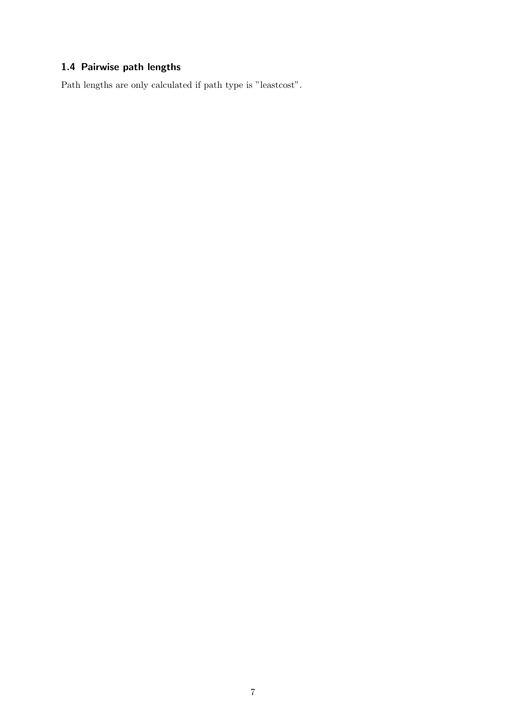# 1.4 Pairwise path lengths

Path lengths are only calculated if path type is "leastcost".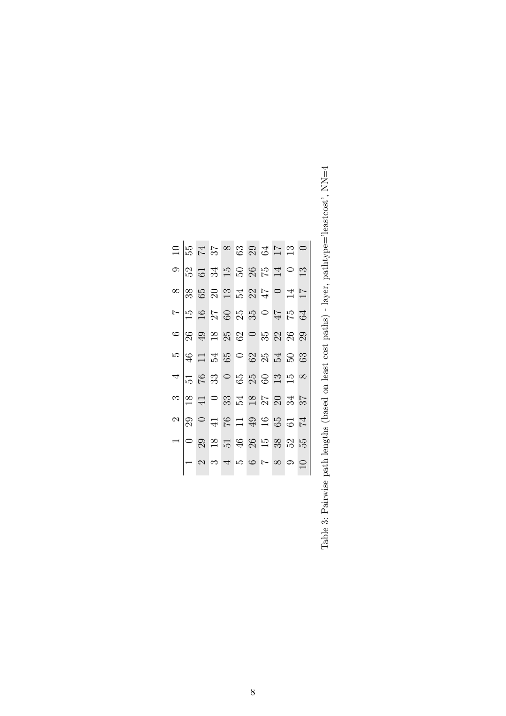| $ \Xi$ |               |  |  |               | 5458394550                                                                                                                                                                                                                                                                                                           |          |                |             |
|--------|---------------|--|--|---------------|----------------------------------------------------------------------------------------------------------------------------------------------------------------------------------------------------------------------------------------------------------------------------------------------------------------------|----------|----------------|-------------|
|        |               |  |  |               | $\circ$ 2 3 3 5 6 7 6 7 9 8 9 9 9 9 9 9 0 $\circ$                                                                                                                                                                                                                                                                    |          |                | 13          |
|        |               |  |  |               |                                                                                                                                                                                                                                                                                                                      |          | $\frac{14}{4}$ |             |
|        |               |  |  |               | $\frac{1}{2}$ $\frac{1}{2}$ $\frac{1}{2}$ $\frac{1}{2}$ $\frac{1}{2}$ $\frac{1}{2}$ $\frac{1}{2}$ $\frac{1}{2}$ $\frac{1}{2}$ $\frac{1}{2}$ $\frac{1}{2}$ $\frac{1}{2}$ $\frac{1}{2}$ $\frac{1}{2}$ $\frac{1}{2}$ $\frac{1}{2}$ $\frac{1}{2}$ $\frac{1}{2}$ $\frac{1}{2}$ $\frac{1}{2}$ $\frac{1}{2}$ $\frac{1}{2}$  |          |                |             |
|        |               |  |  |               |                                                                                                                                                                                                                                                                                                                      |          |                |             |
|        |               |  |  |               | $\frac{56}{4}$                                                                                                                                                                                                                                                                                                       |          |                |             |
| 4      |               |  |  |               | $\frac{1}{12}$ $\frac{1}{6}$ $\frac{1}{6}$ $\frac{1}{6}$ $\frac{1}{6}$ $\frac{1}{6}$ $\frac{1}{6}$ $\frac{1}{6}$ $\frac{1}{6}$ $\frac{1}{6}$ $\frac{1}{6}$ $\frac{1}{6}$ $\frac{1}{6}$ $\frac{1}{6}$ $\frac{1}{6}$ $\frac{1}{6}$ $\frac{1}{6}$ $\frac{1}{6}$ $\frac{1}{6}$ $\frac{1}{6}$ $\frac{1}{6}$ $\frac{1}{6}$ |          |                |             |
|        |               |  |  |               | នាក្ត្រ ក្ត្រ ក្ត្រ ក្ត្រ<br>ស្រុក ក្ត                                                                                                                                                                                                                                                                               |          |                |             |
|        | $\frac{2}{2}$ |  |  |               | $Q \n  48299857$                                                                                                                                                                                                                                                                                                     |          |                |             |
|        |               |  |  |               | 29.89598355                                                                                                                                                                                                                                                                                                          |          |                |             |
|        |               |  |  | $\frac{1}{2}$ |                                                                                                                                                                                                                                                                                                                      | $\infty$ |                | $\supseteq$ |

Table 3: Pairwise path lengths (based on least cost paths) - layer, pathtype='leastcost',  $NN=4$ Table 3: Pairwise path lengths (based on least cost paths) - layer, pathtype='leastcost', NN=4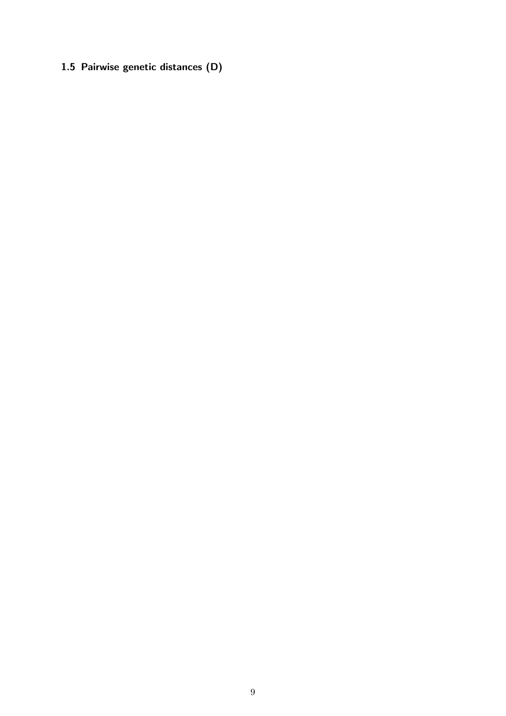1.5 Pairwise genetic distances (D)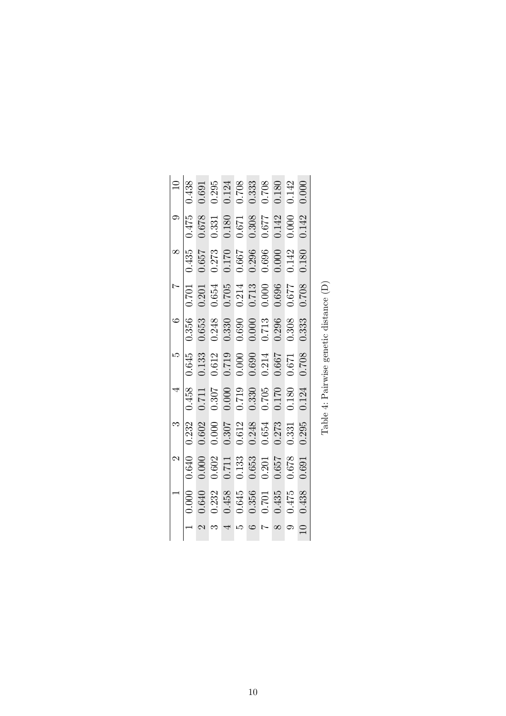|                | 0.438             |       |       |       | $\begin{array}{c} 0.691 \\ 0.295 \\ 0.124 \\ 0.708 \\ 0.333 \\ 0.708 \\ 0.180 \\ 0.142 \end{array}$                                                 |           |       |       | 0.000 |  |
|----------------|-------------------|-------|-------|-------|-----------------------------------------------------------------------------------------------------------------------------------------------------|-----------|-------|-------|-------|--|
|                |                   |       |       |       | $\begin{array}{r} 0.475 \\ 0.678 \\ 0.331 \\ 0.180 \\ 0.671 \\ 0.671 \\ 0.671 \\ 0.677 \\ 0.0308 \\ 0.042 \\ \end{array}$                           |           |       |       | 0.142 |  |
|                | 0.435             | 0.657 |       |       | $\begin{array}{c} 0.273 \\ 0.170 \\ 0.667 \\ 0.296 \\ 0.696 \\ 0.000 \\ 0.142 \end{array}$                                                          |           |       |       | 0.180 |  |
| $\overline{a}$ |                   |       |       |       | $\begin{array}{r} 0.701 \\ 0.201 \\ 0.654 \\ 0.705 \\ 0.214 \\ 0.705 \\ 0.000 \\ 0.000 \\ 0.696 \\ 0.677 \end{array}$                               |           |       |       | 0.708 |  |
|                | 0.356<br>0.653    |       |       |       | $\begin{array}{l} 0.248 \\ 0.330 \\ 0.690 \\ 0.000 \\ 0.713 \\ 0.296 \\ 0.308 \end{array}$                                                          |           |       |       | 0.333 |  |
|                |                   |       |       |       | $\begin{array}{r} 0.645 \\ 0.133 \\ 0.612 \\ 0.000 \\ 0.000 \\ 0.600 \\ 0.671 \\ 0.667 \\ 0.671 \\ 0.671 \\ 0.671 \\ 0.708 \\ 0.708 \\ \end{array}$ |           |       |       |       |  |
| $\overline{a}$ |                   |       |       |       | 0.81.0<br>0.301<br>0.000<br>0.000<br>0.000<br>0.000<br>0.000<br>0.170<br>0.180                                                                      |           |       |       | 0.124 |  |
|                |                   |       |       |       | $\begin{array}{r} 3 \\ 0.232 \\ 0.602 \\ 0.000 \\ 0.307 \\ 0.612 \\ 0.614 \\ 0.654 \\ 0.654 \\ 0.273 \\ \end{array}$                                |           |       | 0.331 | 0.295 |  |
| $\mathfrak{a}$ |                   |       |       |       | $\begin{array}{c} 0.640 \\ 0.000 \\ 0.602 \\ 0.711 \\ 0.133 \\ 0.653 \\ 0.020 \end{array}$                                                          |           | 0.657 | 0.678 | 0.691 |  |
|                | $\frac{1}{0.000}$ | 0.640 | 0.232 | 0.458 | $0.645$<br>0.356                                                                                                                                    | $0.701\,$ | 0.435 | 0.475 | 0.438 |  |
|                |                   |       |       |       |                                                                                                                                                     |           |       |       |       |  |

 $\overline{1}$  $\overline{1}$ 

Table 4: Pairwise genetic distance  $(\mathbf{D})$ Table 4: Pairwise genetic distance (D)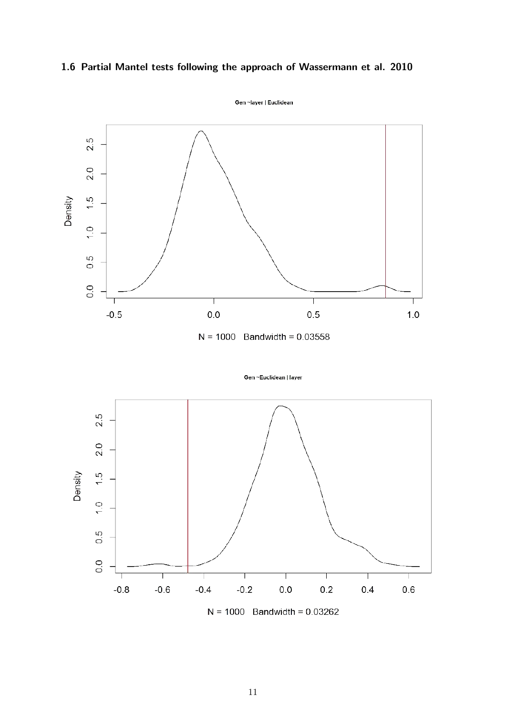# 1.6 Partial Mantel tests following the approach of Wassermann et al. 2010



Gen ~Euclidean | layer